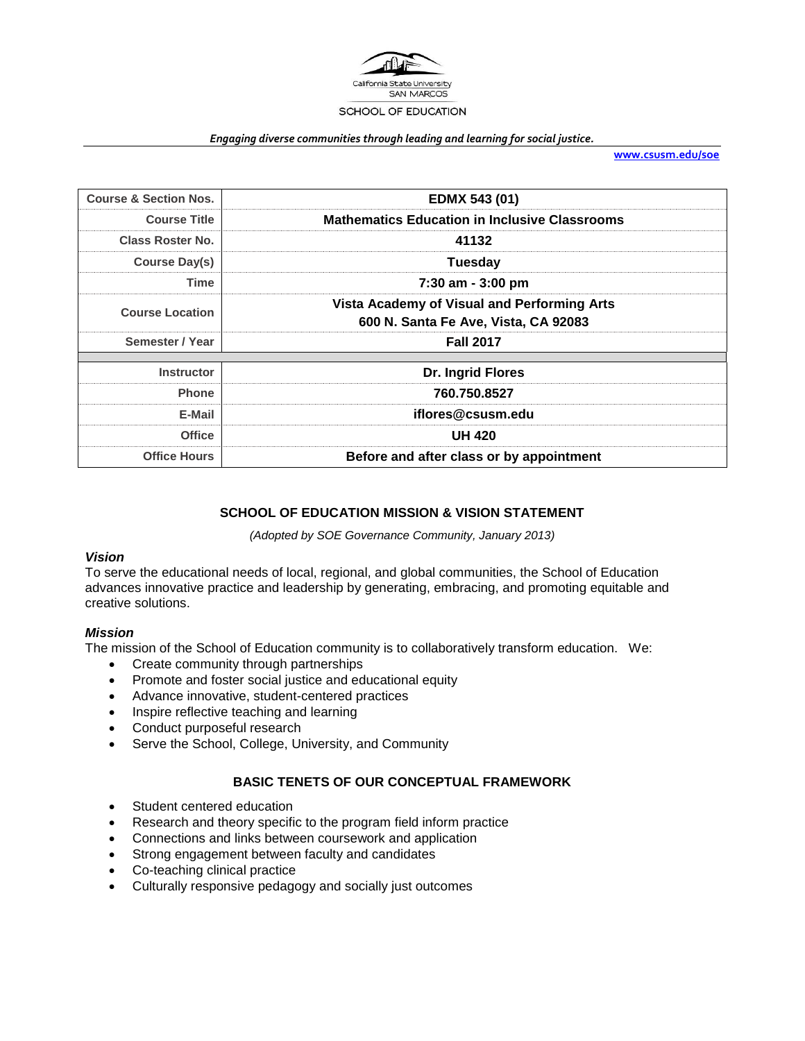

#### *Engaging diverse communities through leading and learning for social justice.*

**[www.csusm.edu/soe](http://www.csusm.edu/soe)**

| <b>Course &amp; Section Nos.</b>                              | <b>EDMX 543 (01)</b>                                                                |                     |
|---------------------------------------------------------------|-------------------------------------------------------------------------------------|---------------------|
| <b>Course Title</b>                                           | <b>Mathematics Education in Inclusive Classrooms</b>                                |                     |
| <b>Class Roster No.</b>                                       | 41132                                                                               |                     |
| Course Day(s)                                                 | <b>Tuesday</b>                                                                      |                     |
| Time                                                          | 7:30 am - 3:00 pm                                                                   |                     |
| <b>Course Location</b>                                        | Vista Academy of Visual and Performing Arts<br>600 N. Santa Fe Ave, Vista, CA 92083 |                     |
| Semester / Year                                               | <b>Fall 2017</b>                                                                    |                     |
|                                                               |                                                                                     |                     |
| <b>Instructor</b>                                             | Dr. Ingrid Flores                                                                   |                     |
| 760.750.8527<br><b>Phone</b>                                  |                                                                                     |                     |
| iflores@csusm.edu<br>E-Mail<br><b>UH 420</b><br><b>Office</b> |                                                                                     |                     |
|                                                               |                                                                                     | <b>Office Hours</b> |

#### **SCHOOL OF EDUCATION MISSION & VISION STATEMENT**

*(Adopted by SOE Governance Community, January 2013)*

# *Vision*

To serve the educational needs of local, regional, and global communities, the School of Education advances innovative practice and leadership by generating, embracing, and promoting equitable and creative solutions.

#### *Mission*

The mission of the School of Education community is to collaboratively transform education. We:

- Create community through partnerships
- Promote and foster social justice and educational equity
- Advance innovative, student-centered practices
- Inspire reflective teaching and learning
- Conduct purposeful research
- Serve the School, College, University, and Community

#### **BASIC TENETS OF OUR CONCEPTUAL FRAMEWORK**

- Student centered education
- Research and theory specific to the program field inform practice
- Connections and links between coursework and application
- Strong engagement between faculty and candidates
- Co-teaching clinical practice
- Culturally responsive pedagogy and socially just outcomes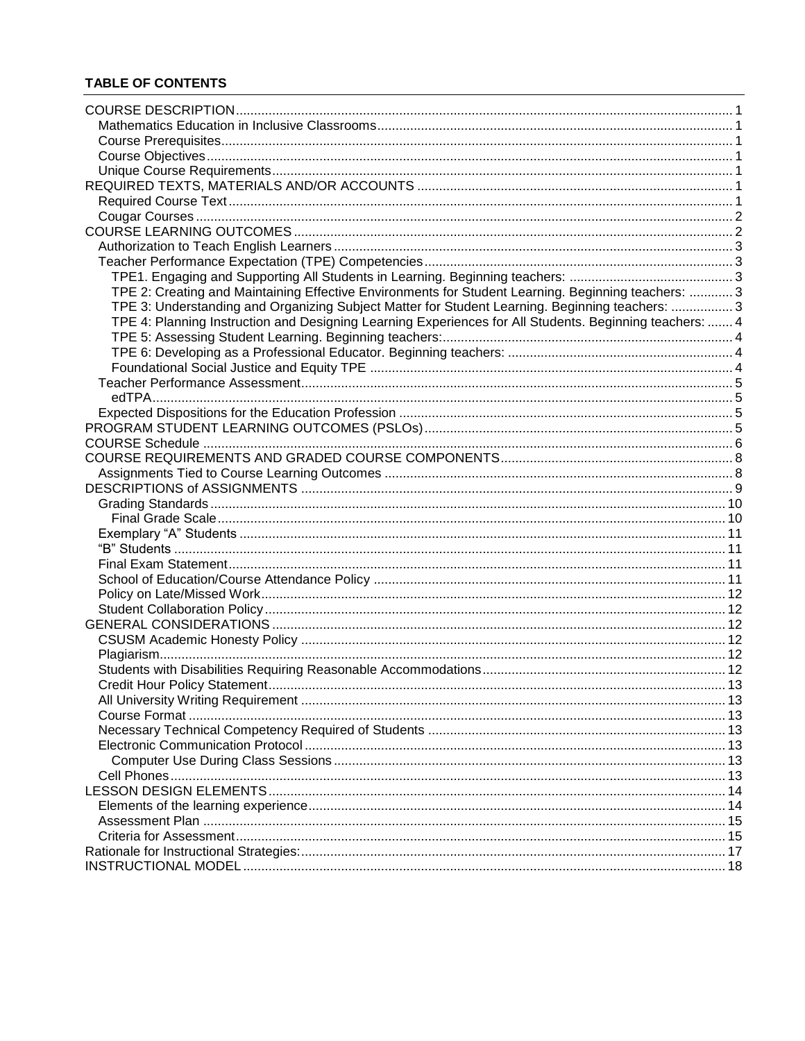# **TABLE OF CONTENTS**

| TPE 2: Creating and Maintaining Effective Environments for Student Learning. Beginning teachers:  3     |  |
|---------------------------------------------------------------------------------------------------------|--|
| TPE 3: Understanding and Organizing Subject Matter for Student Learning. Beginning teachers: 3          |  |
| TPE 4: Planning Instruction and Designing Learning Experiences for All Students. Beginning teachers:  4 |  |
|                                                                                                         |  |
|                                                                                                         |  |
|                                                                                                         |  |
|                                                                                                         |  |
|                                                                                                         |  |
|                                                                                                         |  |
|                                                                                                         |  |
|                                                                                                         |  |
|                                                                                                         |  |
|                                                                                                         |  |
|                                                                                                         |  |
|                                                                                                         |  |
|                                                                                                         |  |
|                                                                                                         |  |
|                                                                                                         |  |
|                                                                                                         |  |
|                                                                                                         |  |
|                                                                                                         |  |
|                                                                                                         |  |
|                                                                                                         |  |
|                                                                                                         |  |
|                                                                                                         |  |
|                                                                                                         |  |
|                                                                                                         |  |
|                                                                                                         |  |
|                                                                                                         |  |
|                                                                                                         |  |
|                                                                                                         |  |
|                                                                                                         |  |
|                                                                                                         |  |
|                                                                                                         |  |
|                                                                                                         |  |
|                                                                                                         |  |
|                                                                                                         |  |
|                                                                                                         |  |
|                                                                                                         |  |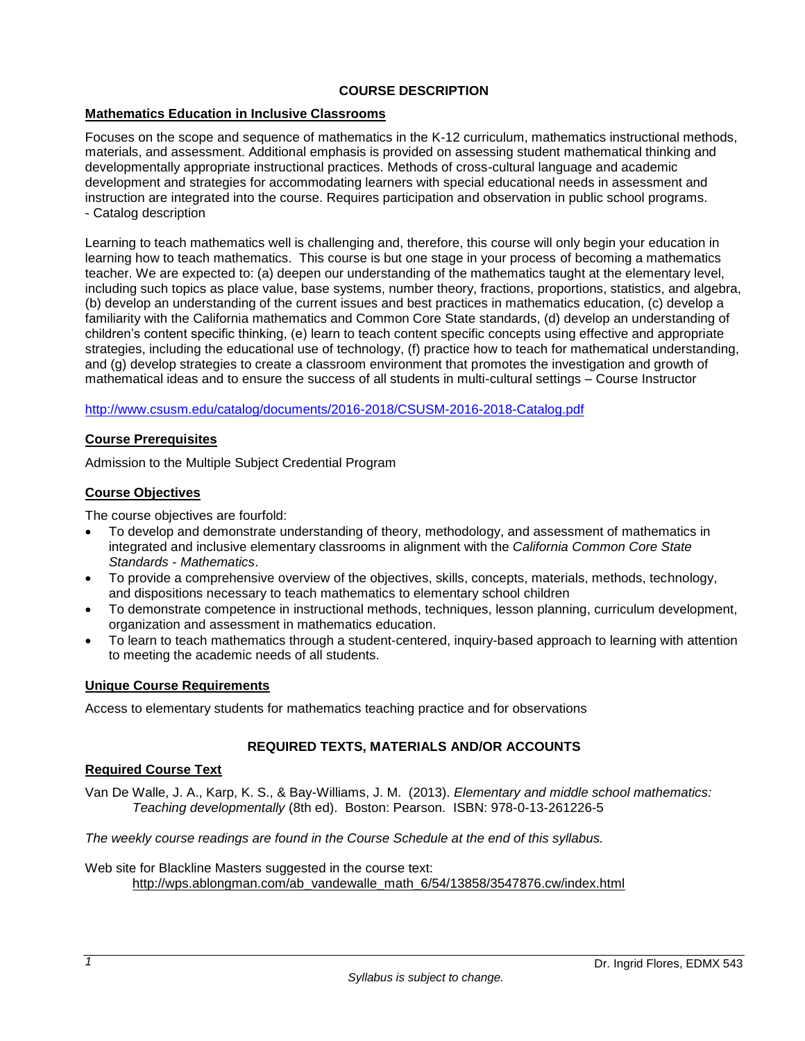# **COURSE DESCRIPTION**

### <span id="page-2-1"></span><span id="page-2-0"></span>**Mathematics Education in Inclusive Classrooms**

Focuses on the scope and sequence of mathematics in the K-12 curriculum, mathematics instructional methods, materials, and assessment. Additional emphasis is provided on assessing student mathematical thinking and developmentally appropriate instructional practices. Methods of cross-cultural language and academic development and strategies for accommodating learners with special educational needs in assessment and instruction are integrated into the course. Requires participation and observation in public school programs. - Catalog description

Learning to teach mathematics well is challenging and, therefore, this course will only begin your education in learning how to teach mathematics. This course is but one stage in your process of becoming a mathematics teacher. We are expected to: (a) deepen our understanding of the mathematics taught at the elementary level, including such topics as place value, base systems, number theory, fractions, proportions, statistics, and algebra, (b) develop an understanding of the current issues and best practices in mathematics education, (c) develop a familiarity with the California mathematics and Common Core State standards, (d) develop an understanding of children's content specific thinking, (e) learn to teach content specific concepts using effective and appropriate strategies, including the educational use of technology, (f) practice how to teach for mathematical understanding, and (g) develop strategies to create a classroom environment that promotes the investigation and growth of mathematical ideas and to ensure the success of all students in multi-cultural settings – Course Instructor

<http://www.csusm.edu/catalog/documents/2016-2018/CSUSM-2016-2018-Catalog.pdf>

#### <span id="page-2-2"></span>**Course Prerequisites**

Admission to the Multiple Subject Credential Program

# <span id="page-2-3"></span>**Course Objectives**

The course objectives are fourfold:

- To develop and demonstrate understanding of theory, methodology, and assessment of mathematics in integrated and inclusive elementary classrooms in alignment with the *California Common Core State Standards - Mathematics*.
- To provide a comprehensive overview of the objectives, skills, concepts, materials, methods, technology, and dispositions necessary to teach mathematics to elementary school children
- To demonstrate competence in instructional methods, techniques, lesson planning, curriculum development, organization and assessment in mathematics education.
- To learn to teach mathematics through a student-centered, inquiry-based approach to learning with attention to meeting the academic needs of all students.

#### <span id="page-2-4"></span>**Unique Course Requirements**

<span id="page-2-5"></span>Access to elementary students for mathematics teaching practice and for observations

# **REQUIRED TEXTS, MATERIALS AND/OR ACCOUNTS**

#### <span id="page-2-6"></span>**Required Course Text**

Van De Walle, J. A., Karp, K. S., & Bay-Williams, J. M. (2013). *Elementary and middle school mathematics: Teaching developmentally* (8th ed). Boston: Pearson. ISBN: 978-0-13-261226-5

*The weekly course readings are found in the Course Schedule at the end of this syllabus.*

Web site for Blackline Masters suggested in the course text: [http://wps.ablongman.com/ab\\_vandewalle\\_math\\_6/54/13858/3547876.cw/index.html](http://wps.ablongman.com/ab_vandewalle_math_6/54/13858/3547876.cw/index.html)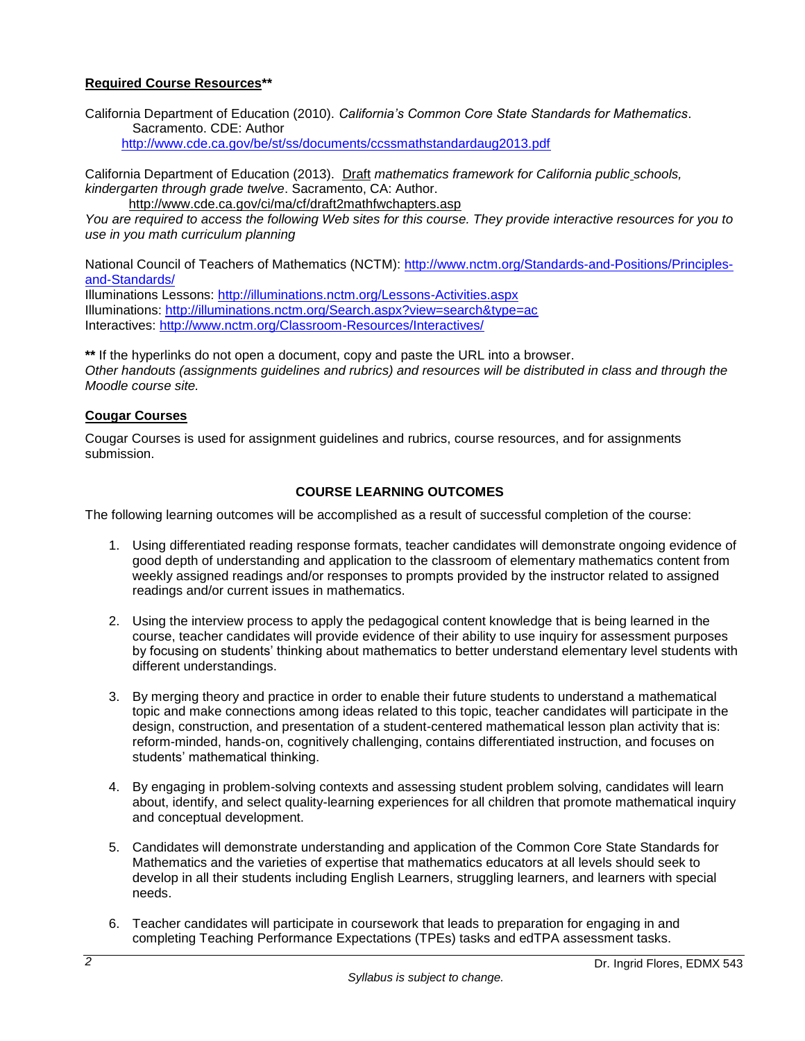# **Required Course Resources\*\***

California Department of Education (2010). *California's Common Core State Standards for Mathematics*. Sacramento. CDE: Author

<http://www.cde.ca.gov/be/st/ss/documents/ccssmathstandardaug2013.pdf>

California Department of Education (2013). Draft *mathematics framework for California public schools, kindergarten through grade twelve*. Sacramento, CA: Author. <http://www.cde.ca.gov/ci/ma/cf/draft2mathfwchapters.asp>

*You are required to access the following Web sites for this course. They provide interactive resources for you to use in you math curriculum planning*

National Council of Teachers of Mathematics (NCTM): [http://www.nctm.org/Standards-and-Positions/Principles](http://www.nctm.org/Standards-and-Positions/Principles-and-Standards/)[and-Standards/](http://www.nctm.org/Standards-and-Positions/Principles-and-Standards/)

Illuminations Lessons:<http://illuminations.nctm.org/Lessons-Activities.aspx> Illuminations:<http://illuminations.nctm.org/Search.aspx?view=search&type=ac> Interactives:<http://www.nctm.org/Classroom-Resources/Interactives/>

**\*\*** If the hyperlinks do not open a document, copy and paste the URL into a browser. *Other handouts (assignments guidelines and rubrics) and resources will be distributed in class and through the Moodle course site.*

#### <span id="page-3-0"></span>**Cougar Courses**

Cougar Courses is used for assignment guidelines and rubrics, course resources, and for assignments submission.

# **COURSE LEARNING OUTCOMES**

<span id="page-3-1"></span>The following learning outcomes will be accomplished as a result of successful completion of the course:

- 1. Using differentiated reading response formats, teacher candidates will demonstrate ongoing evidence of good depth of understanding and application to the classroom of elementary mathematics content from weekly assigned readings and/or responses to prompts provided by the instructor related to assigned readings and/or current issues in mathematics.
- 2. Using the interview process to apply the pedagogical content knowledge that is being learned in the course, teacher candidates will provide evidence of their ability to use inquiry for assessment purposes by focusing on students' thinking about mathematics to better understand elementary level students with different understandings.
- 3. By merging theory and practice in order to enable their future students to understand a mathematical topic and make connections among ideas related to this topic, teacher candidates will participate in the design, construction, and presentation of a student-centered mathematical lesson plan activity that is: reform-minded, hands-on, cognitively challenging, contains differentiated instruction, and focuses on students' mathematical thinking.
- 4. By engaging in problem-solving contexts and assessing student problem solving, candidates will learn about, identify, and select quality-learning experiences for all children that promote mathematical inquiry and conceptual development.
- 5. Candidates will demonstrate understanding and application of the Common Core State Standards for Mathematics and the varieties of expertise that mathematics educators at all levels should seek to develop in all their students including English Learners, struggling learners, and learners with special needs.
- 6. Teacher candidates will participate in coursework that leads to preparation for engaging in and completing Teaching Performance Expectations (TPEs) tasks and edTPA assessment tasks.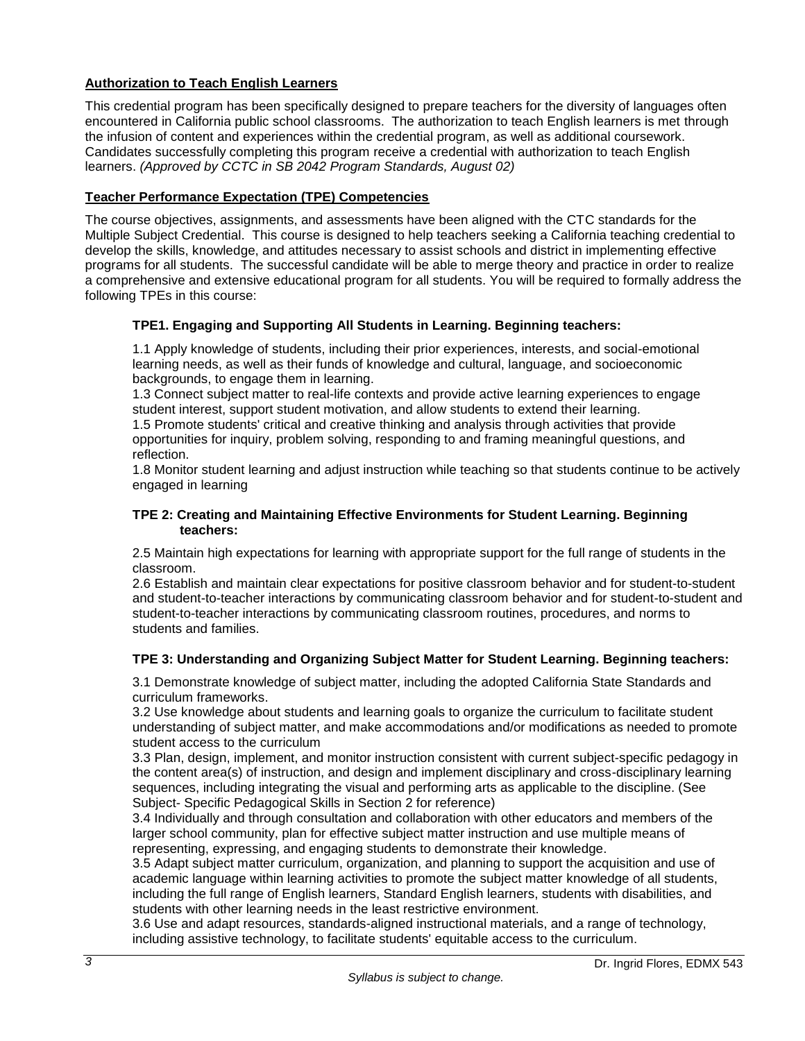# <span id="page-4-0"></span>**Authorization to Teach English Learners**

This credential program has been specifically designed to prepare teachers for the diversity of languages often encountered in California public school classrooms. The authorization to teach English learners is met through the infusion of content and experiences within the credential program, as well as additional coursework. Candidates successfully completing this program receive a credential with authorization to teach English learners. *(Approved by CCTC in SB 2042 Program Standards, August 02)*

# <span id="page-4-1"></span>**Teacher Performance Expectation (TPE) Competencies**

The course objectives, assignments, and assessments have been aligned with the CTC standards for the Multiple Subject Credential. This course is designed to help teachers seeking a California teaching credential to develop the skills, knowledge, and attitudes necessary to assist schools and district in implementing effective programs for all students. The successful candidate will be able to merge theory and practice in order to realize a comprehensive and extensive educational program for all students. You will be required to formally address the following TPEs in this course:

# <span id="page-4-2"></span>**TPE1. Engaging and Supporting All Students in Learning. Beginning teachers:**

1.1 Apply knowledge of students, including their prior experiences, interests, and social-emotional learning needs, as well as their funds of knowledge and cultural, language, and socioeconomic backgrounds, to engage them in learning.

1.3 Connect subject matter to real-life contexts and provide active learning experiences to engage student interest, support student motivation, and allow students to extend their learning.

1.5 Promote students' critical and creative thinking and analysis through activities that provide opportunities for inquiry, problem solving, responding to and framing meaningful questions, and reflection.

1.8 Monitor student learning and adjust instruction while teaching so that students continue to be actively engaged in learning

#### <span id="page-4-3"></span>**TPE 2: Creating and Maintaining Effective Environments for Student Learning. Beginning teachers:**

2.5 Maintain high expectations for learning with appropriate support for the full range of students in the classroom.

2.6 Establish and maintain clear expectations for positive classroom behavior and for student-to-student and student-to-teacher interactions by communicating classroom behavior and for student-to-student and student-to-teacher interactions by communicating classroom routines, procedures, and norms to students and families.

# <span id="page-4-4"></span>**TPE 3: Understanding and Organizing Subject Matter for Student Learning. Beginning teachers:**

3.1 Demonstrate knowledge of subject matter, including the adopted California State Standards and curriculum frameworks.

3.2 Use knowledge about students and learning goals to organize the curriculum to facilitate student understanding of subject matter, and make accommodations and/or modifications as needed to promote student access to the curriculum

3.3 Plan, design, implement, and monitor instruction consistent with current subject-specific pedagogy in the content area(s) of instruction, and design and implement disciplinary and cross-disciplinary learning sequences, including integrating the visual and performing arts as applicable to the discipline. (See Subject- Specific Pedagogical Skills in Section 2 for reference)

3.4 Individually and through consultation and collaboration with other educators and members of the larger school community, plan for effective subject matter instruction and use multiple means of representing, expressing, and engaging students to demonstrate their knowledge.

3.5 Adapt subject matter curriculum, organization, and planning to support the acquisition and use of academic language within learning activities to promote the subject matter knowledge of all students, including the full range of English learners, Standard English learners, students with disabilities, and students with other learning needs in the least restrictive environment.

3.6 Use and adapt resources, standards-aligned instructional materials, and a range of technology, including assistive technology, to facilitate students' equitable access to the curriculum.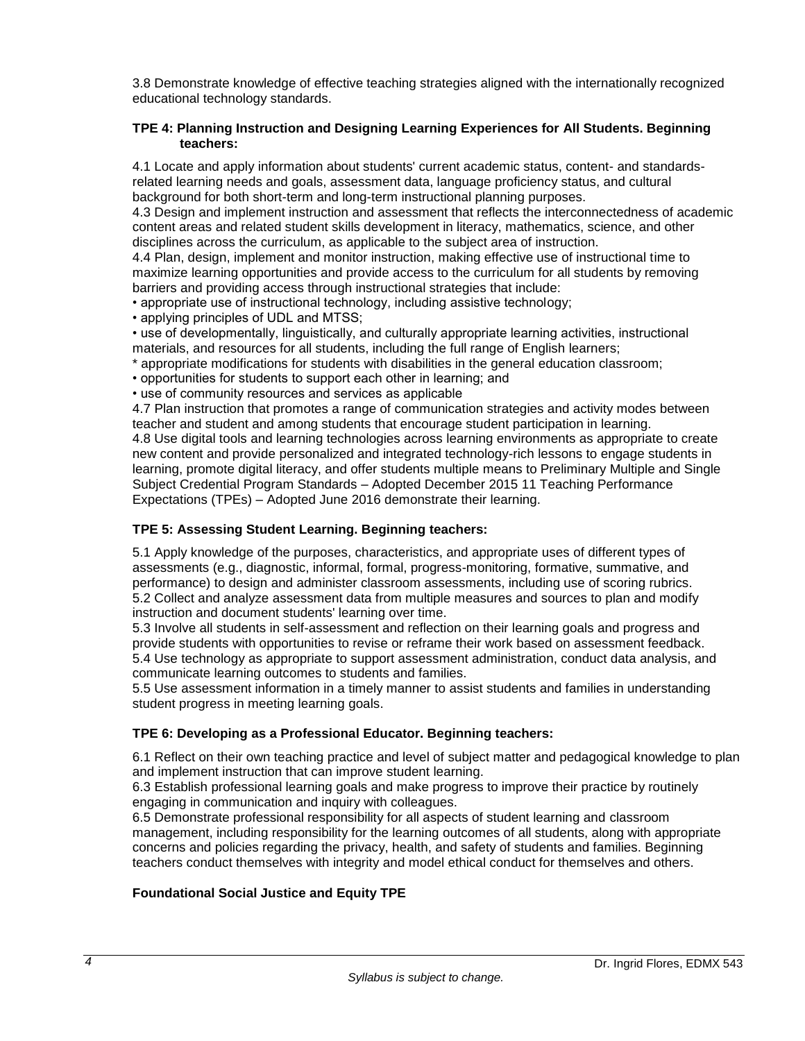3.8 Demonstrate knowledge of effective teaching strategies aligned with the internationally recognized educational technology standards.

#### <span id="page-5-0"></span>**TPE 4: Planning Instruction and Designing Learning Experiences for All Students. Beginning teachers:**

4.1 Locate and apply information about students' current academic status, content- and standardsrelated learning needs and goals, assessment data, language proficiency status, and cultural background for both short-term and long-term instructional planning purposes.

4.3 Design and implement instruction and assessment that reflects the interconnectedness of academic content areas and related student skills development in literacy, mathematics, science, and other disciplines across the curriculum, as applicable to the subject area of instruction.

4.4 Plan, design, implement and monitor instruction, making effective use of instructional time to maximize learning opportunities and provide access to the curriculum for all students by removing barriers and providing access through instructional strategies that include:

• appropriate use of instructional technology, including assistive technology;

• applying principles of UDL and MTSS;

• use of developmentally, linguistically, and culturally appropriate learning activities, instructional materials, and resources for all students, including the full range of English learners;

\* appropriate modifications for students with disabilities in the general education classroom;

• opportunities for students to support each other in learning; and

• use of community resources and services as applicable

4.7 Plan instruction that promotes a range of communication strategies and activity modes between teacher and student and among students that encourage student participation in learning. 4.8 Use digital tools and learning technologies across learning environments as appropriate to create new content and provide personalized and integrated technology-rich lessons to engage students in learning, promote digital literacy, and offer students multiple means to Preliminary Multiple and Single Subject Credential Program Standards – Adopted December 2015 11 Teaching Performance Expectations (TPEs) – Adopted June 2016 demonstrate their learning.

# <span id="page-5-1"></span>**TPE 5: Assessing Student Learning. Beginning teachers:**

5.1 Apply knowledge of the purposes, characteristics, and appropriate uses of different types of assessments (e.g., diagnostic, informal, formal, progress-monitoring, formative, summative, and performance) to design and administer classroom assessments, including use of scoring rubrics. 5.2 Collect and analyze assessment data from multiple measures and sources to plan and modify instruction and document students' learning over time.

5.3 Involve all students in self-assessment and reflection on their learning goals and progress and provide students with opportunities to revise or reframe their work based on assessment feedback. 5.4 Use technology as appropriate to support assessment administration, conduct data analysis, and communicate learning outcomes to students and families.

5.5 Use assessment information in a timely manner to assist students and families in understanding student progress in meeting learning goals.

# <span id="page-5-2"></span>**TPE 6: Developing as a Professional Educator. Beginning teachers:**

6.1 Reflect on their own teaching practice and level of subject matter and pedagogical knowledge to plan and implement instruction that can improve student learning.

6.3 Establish professional learning goals and make progress to improve their practice by routinely engaging in communication and inquiry with colleagues.

6.5 Demonstrate professional responsibility for all aspects of student learning and classroom management, including responsibility for the learning outcomes of all students, along with appropriate concerns and policies regarding the privacy, health, and safety of students and families. Beginning teachers conduct themselves with integrity and model ethical conduct for themselves and others.

# <span id="page-5-3"></span>**Foundational Social Justice and Equity TPE**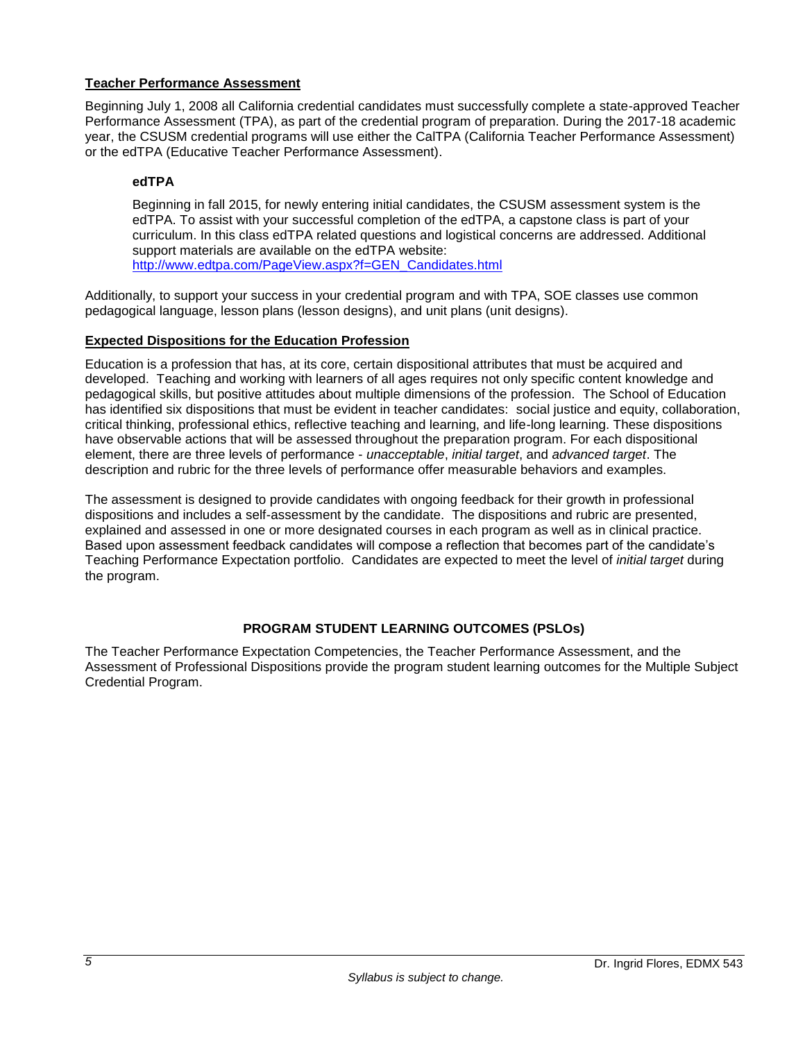# <span id="page-6-0"></span>**Teacher Performance Assessment**

Beginning July 1, 2008 all California credential candidates must successfully complete a state-approved Teacher Performance Assessment (TPA), as part of the credential program of preparation. During the 2017-18 academic year, the CSUSM credential programs will use either the CalTPA (California Teacher Performance Assessment) or the edTPA (Educative Teacher Performance Assessment).

### <span id="page-6-1"></span>**edTPA**

Beginning in fall 2015, for newly entering initial candidates, the CSUSM assessment system is the edTPA. To assist with your successful completion of the edTPA, a capstone class is part of your curriculum. In this class edTPA related questions and logistical concerns are addressed. Additional support materials are available on the edTPA website: [http://www.edtpa.com/PageView.aspx?f=GEN\\_Candidates.html](http://www.edtpa.com/PageView.aspx?f=GEN_Candidates.html)

Additionally, to support your success in your credential program and with TPA, SOE classes use common pedagogical language, lesson plans (lesson designs), and unit plans (unit designs).

# <span id="page-6-2"></span>**Expected Dispositions for the Education Profession**

Education is a profession that has, at its core, certain dispositional attributes that must be acquired and developed. Teaching and working with learners of all ages requires not only specific content knowledge and pedagogical skills, but positive attitudes about multiple dimensions of the profession. The School of Education has identified six dispositions that must be evident in teacher candidates: social justice and equity, collaboration, critical thinking, professional ethics, reflective teaching and learning, and life-long learning. These dispositions have observable actions that will be assessed throughout the preparation program. For each dispositional element, there are three levels of performance - *unacceptable*, *initial target*, and *advanced target*. The description and rubric for the three levels of performance offer measurable behaviors and examples.

The assessment is designed to provide candidates with ongoing feedback for their growth in professional dispositions and includes a self-assessment by the candidate. The dispositions and rubric are presented, explained and assessed in one or more designated courses in each program as well as in clinical practice. Based upon assessment feedback candidates will compose a reflection that becomes part of the candidate's Teaching Performance Expectation portfolio. Candidates are expected to meet the level of *initial target* during the program.

# **PROGRAM STUDENT LEARNING OUTCOMES (PSLOs)**

<span id="page-6-3"></span>The Teacher Performance Expectation Competencies, the Teacher Performance Assessment, and the Assessment of Professional Dispositions provide the program student learning outcomes for the Multiple Subject Credential Program.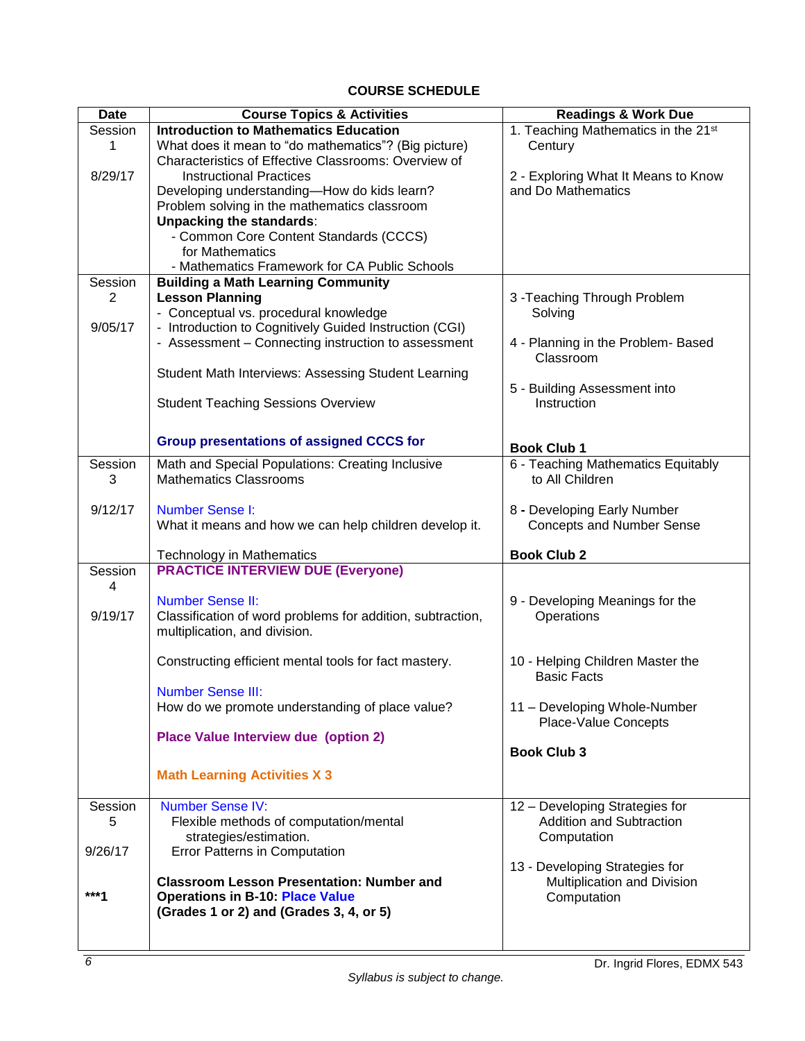# **COURSE SCHEDULE**

<span id="page-7-0"></span>

| <b>Date</b>    | <b>Course Topics &amp; Activities</b>                      | <b>Readings &amp; Work Due</b>                                |  |  |
|----------------|------------------------------------------------------------|---------------------------------------------------------------|--|--|
| Session        | <b>Introduction to Mathematics Education</b>               | 1. Teaching Mathematics in the 21st                           |  |  |
| 1              | What does it mean to "do mathematics"? (Big picture)       | Century                                                       |  |  |
|                | Characteristics of Effective Classrooms: Overview of       |                                                               |  |  |
| 8/29/17        | <b>Instructional Practices</b>                             | 2 - Exploring What It Means to Know                           |  |  |
|                | Developing understanding-How do kids learn?                | and Do Mathematics                                            |  |  |
|                | Problem solving in the mathematics classroom               |                                                               |  |  |
|                | <b>Unpacking the standards:</b>                            |                                                               |  |  |
|                | - Common Core Content Standards (CCCS)                     |                                                               |  |  |
|                | for Mathematics                                            |                                                               |  |  |
|                | - Mathematics Framework for CA Public Schools              |                                                               |  |  |
| Session        | <b>Building a Math Learning Community</b>                  |                                                               |  |  |
| $\overline{2}$ | <b>Lesson Planning</b>                                     | 3 - Teaching Through Problem                                  |  |  |
|                | - Conceptual vs. procedural knowledge                      | Solving                                                       |  |  |
| 9/05/17        | - Introduction to Cognitively Guided Instruction (CGI)     |                                                               |  |  |
|                | - Assessment - Connecting instruction to assessment        | 4 - Planning in the Problem- Based<br>Classroom               |  |  |
|                | Student Math Interviews: Assessing Student Learning        |                                                               |  |  |
|                |                                                            | 5 - Building Assessment into                                  |  |  |
|                | <b>Student Teaching Sessions Overview</b>                  | Instruction                                                   |  |  |
|                |                                                            |                                                               |  |  |
|                | <b>Group presentations of assigned CCCS for</b>            |                                                               |  |  |
|                |                                                            | <b>Book Club 1</b>                                            |  |  |
| Session        | Math and Special Populations: Creating Inclusive           | 6 - Teaching Mathematics Equitably                            |  |  |
| 3              | <b>Mathematics Classrooms</b>                              | to All Children                                               |  |  |
| 9/12/17        | <b>Number Sense I:</b>                                     | 8 - Developing Early Number                                   |  |  |
|                | What it means and how we can help children develop it.     | <b>Concepts and Number Sense</b>                              |  |  |
|                |                                                            |                                                               |  |  |
|                | Technology in Mathematics                                  | <b>Book Club 2</b>                                            |  |  |
| Session        | <b>PRACTICE INTERVIEW DUE (Everyone)</b>                   |                                                               |  |  |
| 4              |                                                            |                                                               |  |  |
|                | <b>Number Sense II:</b>                                    | 9 - Developing Meanings for the                               |  |  |
| 9/19/17        | Classification of word problems for addition, subtraction, | Operations                                                    |  |  |
|                | multiplication, and division.                              |                                                               |  |  |
|                |                                                            |                                                               |  |  |
|                | Constructing efficient mental tools for fact mastery.      | 10 - Helping Children Master the                              |  |  |
|                |                                                            | <b>Basic Facts</b>                                            |  |  |
|                | <b>Number Sense III:</b>                                   |                                                               |  |  |
|                | How do we promote understanding of place value?            | 11 - Developing Whole-Number<br><b>Place-Value Concepts</b>   |  |  |
|                | Place Value Interview due (option 2)                       |                                                               |  |  |
|                |                                                            | <b>Book Club 3</b>                                            |  |  |
|                |                                                            |                                                               |  |  |
|                | <b>Math Learning Activities X 3</b>                        |                                                               |  |  |
|                |                                                            |                                                               |  |  |
| Session        | <b>Number Sense IV:</b>                                    | 12 - Developing Strategies for                                |  |  |
| 5              | Flexible methods of computation/mental                     | <b>Addition and Subtraction</b>                               |  |  |
|                | strategies/estimation.                                     | Computation                                                   |  |  |
| 9/26/17        | <b>Error Patterns in Computation</b>                       |                                                               |  |  |
|                | <b>Classroom Lesson Presentation: Number and</b>           | 13 - Developing Strategies for<br>Multiplication and Division |  |  |
| ***1           | <b>Operations in B-10: Place Value</b>                     | Computation                                                   |  |  |
|                | (Grades 1 or 2) and (Grades 3, 4, or 5)                    |                                                               |  |  |
|                |                                                            |                                                               |  |  |
|                |                                                            |                                                               |  |  |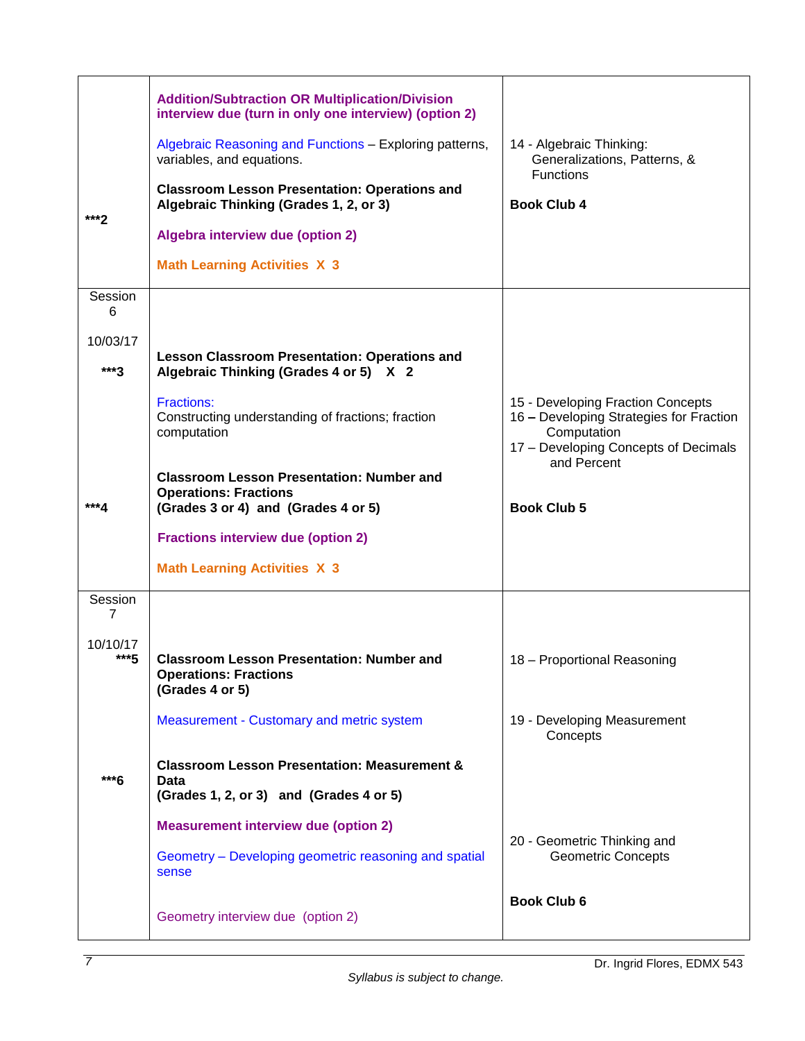| ***?                               | <b>Addition/Subtraction OR Multiplication/Division</b><br>interview due (turn in only one interview) (option 2)<br>Algebraic Reasoning and Functions - Exploring patterns,<br>variables, and equations.<br><b>Classroom Lesson Presentation: Operations and</b><br>Algebraic Thinking (Grades 1, 2, or 3)<br>Algebra interview due (option 2)<br><b>Math Learning Activities X 3</b> | 14 - Algebraic Thinking:<br>Generalizations, Patterns, &<br>Functions<br><b>Book Club 4</b>                                                        |  |  |
|------------------------------------|--------------------------------------------------------------------------------------------------------------------------------------------------------------------------------------------------------------------------------------------------------------------------------------------------------------------------------------------------------------------------------------|----------------------------------------------------------------------------------------------------------------------------------------------------|--|--|
| Session<br>6<br>10/03/17<br>$***3$ | <b>Lesson Classroom Presentation: Operations and</b><br>Algebraic Thinking (Grades 4 or 5) X 2                                                                                                                                                                                                                                                                                       |                                                                                                                                                    |  |  |
|                                    | <b>Fractions:</b><br>Constructing understanding of fractions; fraction<br>computation<br><b>Classroom Lesson Presentation: Number and</b>                                                                                                                                                                                                                                            | 15 - Developing Fraction Concepts<br>16 - Developing Strategies for Fraction<br>Computation<br>17 - Developing Concepts of Decimals<br>and Percent |  |  |
| ***4                               | <b>Operations: Fractions</b><br>(Grades 3 or 4) and (Grades 4 or 5)                                                                                                                                                                                                                                                                                                                  | <b>Book Club 5</b>                                                                                                                                 |  |  |
|                                    | <b>Fractions interview due (option 2)</b><br><b>Math Learning Activities X 3</b>                                                                                                                                                                                                                                                                                                     |                                                                                                                                                    |  |  |
| Session<br>7                       |                                                                                                                                                                                                                                                                                                                                                                                      |                                                                                                                                                    |  |  |
| 10/10/17<br>$***5$                 | <b>Classroom Lesson Presentation: Number and</b><br><b>Operations: Fractions</b><br>(Grades 4 or 5)                                                                                                                                                                                                                                                                                  | 18 - Proportional Reasoning                                                                                                                        |  |  |
|                                    | Measurement - Customary and metric system                                                                                                                                                                                                                                                                                                                                            | 19 - Developing Measurement<br>Concepts                                                                                                            |  |  |
| ***6                               | <b>Classroom Lesson Presentation: Measurement &amp;</b><br>Data                                                                                                                                                                                                                                                                                                                      |                                                                                                                                                    |  |  |
|                                    | (Grades 1, 2, or 3) and (Grades 4 or 5)                                                                                                                                                                                                                                                                                                                                              |                                                                                                                                                    |  |  |
|                                    | <b>Measurement interview due (option 2)</b><br>Geometry - Developing geometric reasoning and spatial<br>sense                                                                                                                                                                                                                                                                        | 20 - Geometric Thinking and<br><b>Geometric Concepts</b>                                                                                           |  |  |
|                                    | Geometry interview due (option 2)                                                                                                                                                                                                                                                                                                                                                    | <b>Book Club 6</b>                                                                                                                                 |  |  |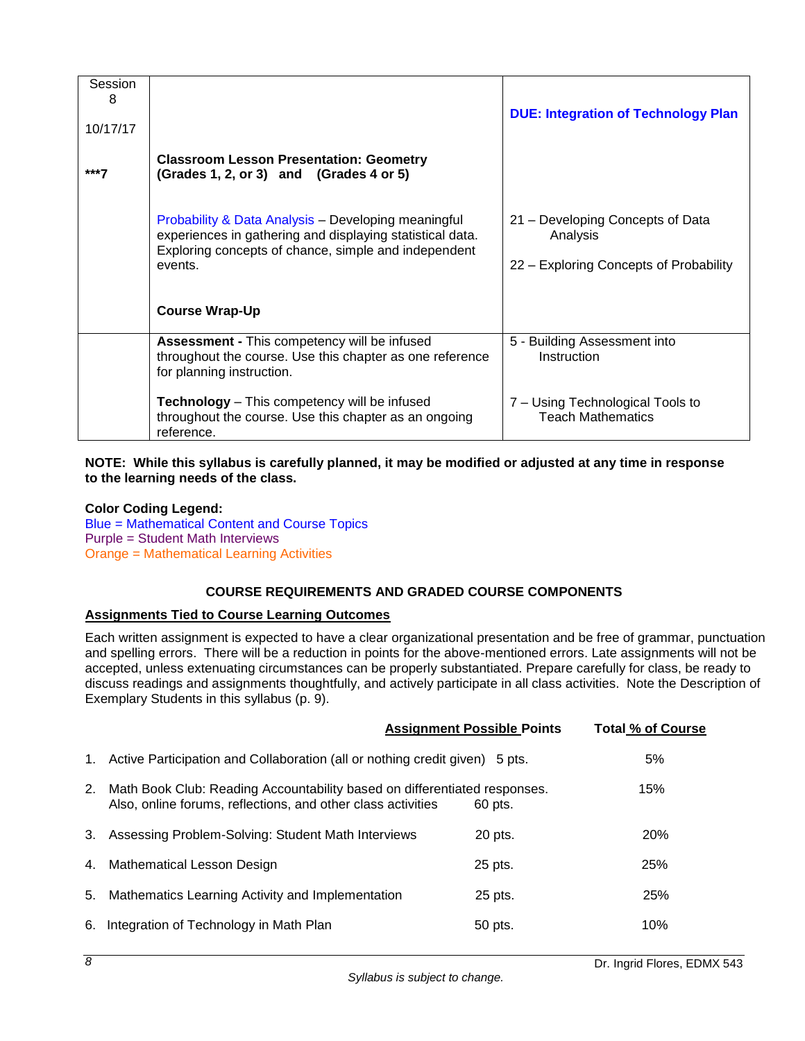| Session<br>8<br>10/17/17 |                                                                                                                                                                                     | <b>DUE: Integration of Technology Plan</b>                                             |
|--------------------------|-------------------------------------------------------------------------------------------------------------------------------------------------------------------------------------|----------------------------------------------------------------------------------------|
| ***7                     | <b>Classroom Lesson Presentation: Geometry</b><br>(Grades 1, 2, or 3) and (Grades 4 or 5)                                                                                           |                                                                                        |
|                          | Probability & Data Analysis - Developing meaningful<br>experiences in gathering and displaying statistical data.<br>Exploring concepts of chance, simple and independent<br>events. | 21 – Developing Concepts of Data<br>Analysis<br>22 – Exploring Concepts of Probability |
|                          | <b>Course Wrap-Up</b>                                                                                                                                                               |                                                                                        |
|                          | <b>Assessment - This competency will be infused</b><br>throughout the course. Use this chapter as one reference<br>for planning instruction.                                        | 5 - Building Assessment into<br>Instruction                                            |
|                          | <b>Technology</b> – This competency will be infused<br>throughout the course. Use this chapter as an ongoing<br>reference.                                                          | 7 - Using Technological Tools to<br><b>Teach Mathematics</b>                           |

**NOTE: While this syllabus is carefully planned, it may be modified or adjusted at any time in response to the learning needs of the class.**

**Color Coding Legend:** Blue = Mathematical Content and Course Topics Purple = Student Math Interviews Orange = Mathematical Learning Activities

# **COURSE REQUIREMENTS AND GRADED COURSE COMPONENTS**

# <span id="page-9-1"></span><span id="page-9-0"></span>**Assignments Tied to Course Learning Outcomes**

Each written assignment is expected to have a clear organizational presentation and be free of grammar, punctuation and spelling errors. There will be a reduction in points for the above-mentioned errors. Late assignments will not be accepted, unless extenuating circumstances can be properly substantiated. Prepare carefully for class, be ready to discuss readings and assignments thoughtfully, and actively participate in all class activities. Note the Description of Exemplary Students in this syllabus (p. 9).

|    |                                                                                                                                           | <b>Assignment Possible Points</b> | <b>Total % of Course</b> |
|----|-------------------------------------------------------------------------------------------------------------------------------------------|-----------------------------------|--------------------------|
|    | 1. Active Participation and Collaboration (all or nothing credit given) 5 pts.                                                            |                                   | 5%                       |
| 2. | Math Book Club: Reading Accountability based on differentiated responses.<br>Also, online forums, reflections, and other class activities | 60 pts.                           | 15%                      |
|    | 3. Assessing Problem-Solving: Student Math Interviews                                                                                     | 20 pts.                           | 20%                      |
|    | 4. Mathematical Lesson Design                                                                                                             | 25 pts.                           | 25%                      |
| 5. | Mathematics Learning Activity and Implementation                                                                                          | 25 pts.                           | 25%                      |
| 6. | Integration of Technology in Math Plan                                                                                                    | 50 pts.                           | 10%                      |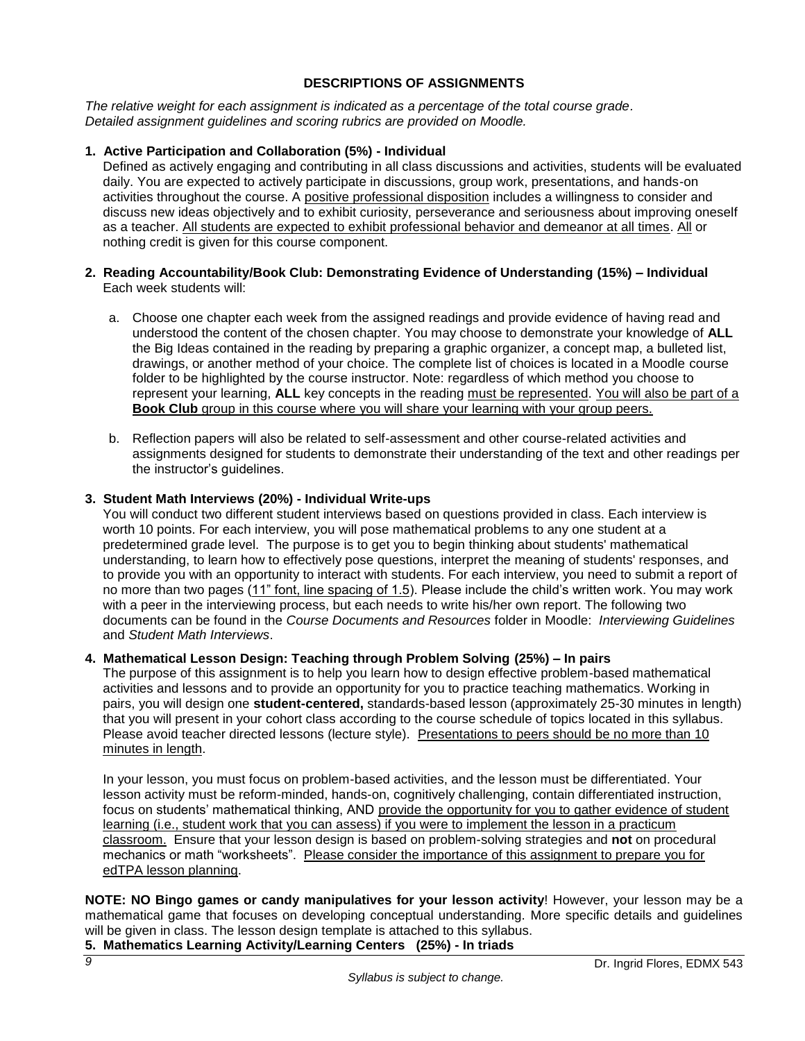# **DESCRIPTIONS OF ASSIGNMENTS**

<span id="page-10-0"></span>*The relative weight for each assignment is indicated as a percentage of the total course grade. Detailed assignment guidelines and scoring rubrics are provided on Moodle.* 

# **1. Active Participation and Collaboration (5%) - Individual**

Defined as actively engaging and contributing in all class discussions and activities, students will be evaluated daily. You are expected to actively participate in discussions, group work, presentations, and hands-on activities throughout the course. A positive professional disposition includes a willingness to consider and discuss new ideas objectively and to exhibit curiosity, perseverance and seriousness about improving oneself as a teacher. All students are expected to exhibit professional behavior and demeanor at all times. All or nothing credit is given for this course component.

# **2. Reading Accountability/Book Club: Demonstrating Evidence of Understanding (15%) – Individual** Each week students will:

- a. Choose one chapter each week from the assigned readings and provide evidence of having read and understood the content of the chosen chapter. You may choose to demonstrate your knowledge of **ALL** the Big Ideas contained in the reading by preparing a graphic organizer, a concept map, a bulleted list, drawings, or another method of your choice. The complete list of choices is located in a Moodle course folder to be highlighted by the course instructor. Note: regardless of which method you choose to represent your learning, **ALL** key concepts in the reading must be represented. You will also be part of a **Book Club** group in this course where you will share your learning with your group peers.
- b. Reflection papers will also be related to self-assessment and other course-related activities and assignments designed for students to demonstrate their understanding of the text and other readings per the instructor's guidelines.

# **3. Student Math Interviews (20%) - Individual Write-ups**

You will conduct two different student interviews based on questions provided in class. Each interview is worth 10 points. For each interview, you will pose mathematical problems to any one student at a predetermined grade level. The purpose is to get you to begin thinking about students' mathematical understanding, to learn how to effectively pose questions, interpret the meaning of students' responses, and to provide you with an opportunity to interact with students. For each interview, you need to submit a report of no more than two pages (11" font, line spacing of 1.5). Please include the child's written work. You may work with a peer in the interviewing process, but each needs to write his/her own report. The following two documents can be found in the *Course Documents and Resources* folder in Moodle: *Interviewing Guidelines* and *Student Math Interviews*.

# **4. Mathematical Lesson Design: Teaching through Problem Solving (25%) – In pairs**

The purpose of this assignment is to help you learn how to design effective problem-based mathematical activities and lessons and to provide an opportunity for you to practice teaching mathematics. Working in pairs, you will design one **student-centered,** standards-based lesson (approximately 25-30 minutes in length) that you will present in your cohort class according to the course schedule of topics located in this syllabus. Please avoid teacher directed lessons (lecture style). Presentations to peers should be no more than 10 minutes in length.

In your lesson, you must focus on problem-based activities, and the lesson must be differentiated. Your lesson activity must be reform-minded, hands-on, cognitively challenging, contain differentiated instruction, focus on students' mathematical thinking, AND provide the opportunity for you to gather evidence of student learning (i.e., student work that you can assess) if you were to implement the lesson in a practicum classroom. Ensure that your lesson design is based on problem-solving strategies and **not** on procedural mechanics or math "worksheets". Please consider the importance of this assignment to prepare you for edTPA lesson planning.

**NOTE: NO Bingo games or candy manipulatives for your lesson activity**! However, your lesson may be a mathematical game that focuses on developing conceptual understanding. More specific details and guidelines will be given in class. The lesson design template is attached to this syllabus.

**5. Mathematics Learning Activity/Learning Centers (25%) - In triads**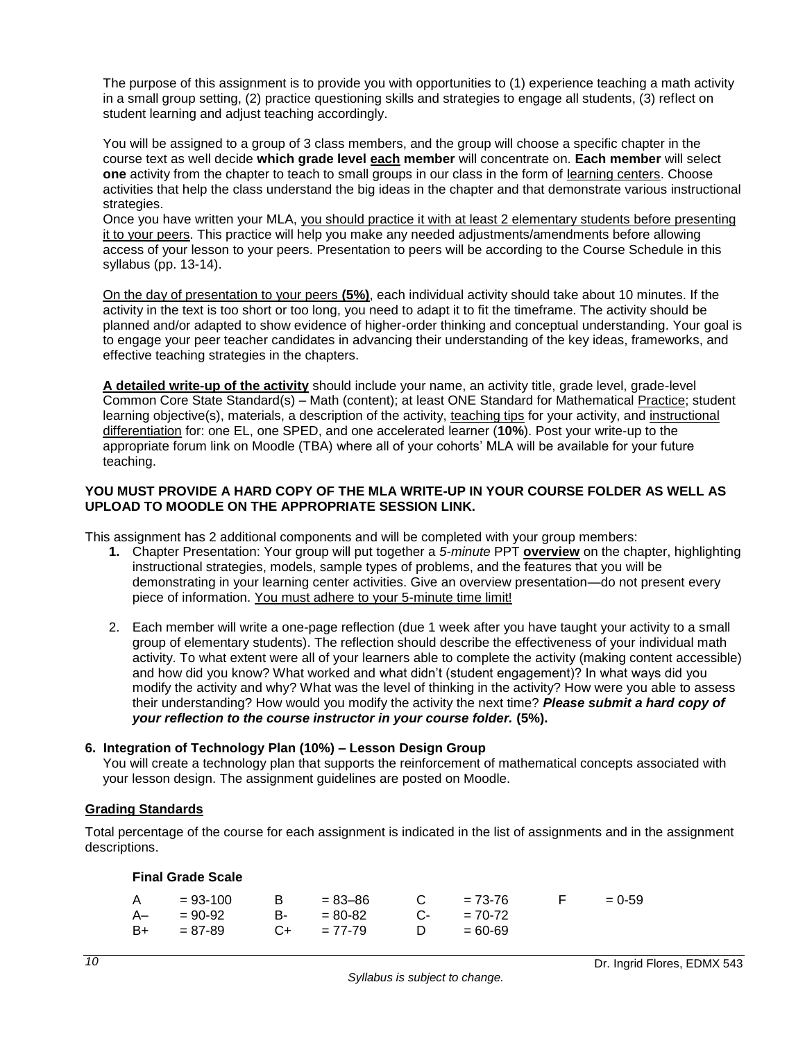The purpose of this assignment is to provide you with opportunities to (1) experience teaching a math activity in a small group setting, (2) practice questioning skills and strategies to engage all students, (3) reflect on student learning and adjust teaching accordingly.

You will be assigned to a group of 3 class members, and the group will choose a specific chapter in the course text as well decide **which grade level each member** will concentrate on. **Each member** will select **one** activity from the chapter to teach to small groups in our class in the form of learning centers. Choose activities that help the class understand the big ideas in the chapter and that demonstrate various instructional strategies.

Once you have written your MLA, you should practice it with at least 2 elementary students before presenting it to your peers. This practice will help you make any needed adjustments/amendments before allowing access of your lesson to your peers. Presentation to peers will be according to the Course Schedule in this syllabus (pp. 13-14).

On the day of presentation to your peers **(5%)**, each individual activity should take about 10 minutes. If the activity in the text is too short or too long, you need to adapt it to fit the timeframe. The activity should be planned and/or adapted to show evidence of higher-order thinking and conceptual understanding. Your goal is to engage your peer teacher candidates in advancing their understanding of the key ideas, frameworks, and effective teaching strategies in the chapters.

**A detailed write-up of the activity** should include your name, an activity title, grade level, grade-level Common Core State Standard(s) – Math (content); at least ONE Standard for Mathematical Practice; student learning objective(s), materials, a description of the activity, teaching tips for your activity, and instructional differentiation for: one EL, one SPED, and one accelerated learner (**10%**). Post your write-up to the appropriate forum link on Moodle (TBA) where all of your cohorts' MLA will be available for your future teaching.

### **YOU MUST PROVIDE A HARD COPY OF THE MLA WRITE-UP IN YOUR COURSE FOLDER AS WELL AS UPLOAD TO MOODLE ON THE APPROPRIATE SESSION LINK.**

This assignment has 2 additional components and will be completed with your group members:

- **1.** Chapter Presentation: Your group will put together a *5-minute* PPT **overview** on the chapter, highlighting instructional strategies, models, sample types of problems, and the features that you will be demonstrating in your learning center activities. Give an overview presentation—do not present every piece of information. You must adhere to your 5-minute time limit!
- 2. Each member will write a one-page reflection (due 1 week after you have taught your activity to a small group of elementary students). The reflection should describe the effectiveness of your individual math activity. To what extent were all of your learners able to complete the activity (making content accessible) and how did you know? What worked and what didn't (student engagement)? In what ways did you modify the activity and why? What was the level of thinking in the activity? How were you able to assess their understanding? How would you modify the activity the next time? *Please submit a hard copy of your reflection to the course instructor in your course folder.* **(5%).**

# **6. Integration of Technology Plan (10%) – Lesson Design Group**

You will create a technology plan that supports the reinforcement of mathematical concepts associated with your lesson design. The assignment guidelines are posted on Moodle.

#### <span id="page-11-0"></span>**Grading Standards**

<span id="page-11-1"></span>Total percentage of the course for each assignment is indicated in the list of assignments and in the assignment descriptions.

#### **Final Grade Scale**

| $A = 93-100$ | $B = 83 - 86$   | $C = 73-76$  | and the property of the second | $= 0.59$ |
|--------------|-----------------|--------------|--------------------------------|----------|
| A– = 90-92   | $B - 80 - 82$   | $C- = 70-72$ |                                |          |
| $B+ = 87-89$ | $C_{+}$ = 77-79 | $D = 60-69$  |                                |          |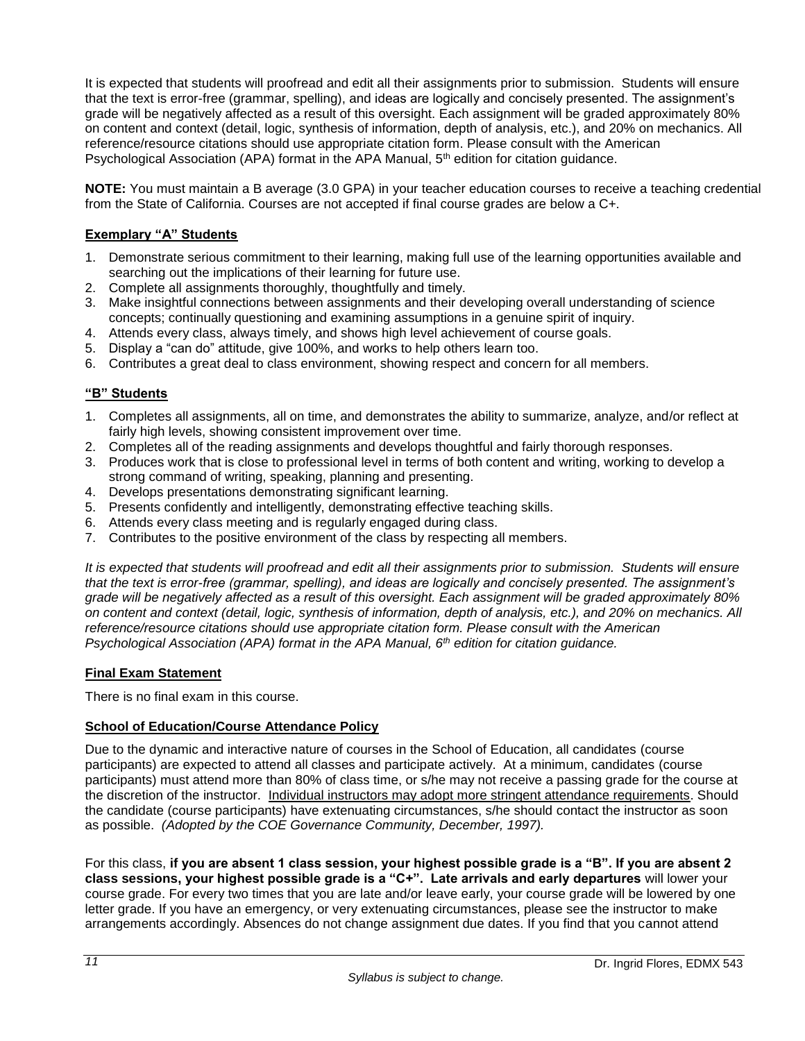It is expected that students will proofread and edit all their assignments prior to submission. Students will ensure that the text is error-free (grammar, spelling), and ideas are logically and concisely presented. The assignment's grade will be negatively affected as a result of this oversight. Each assignment will be graded approximately 80% on content and context (detail, logic, synthesis of information, depth of analysis, etc.), and 20% on mechanics. All reference/resource citations should use appropriate citation form. Please consult with the American Psychological Association (APA) format in the APA Manual, 5<sup>th</sup> edition for citation guidance.

**NOTE:** You must maintain a B average (3.0 GPA) in your teacher education courses to receive a teaching credential from the State of California. Courses are not accepted if final course grades are below a C+.

# <span id="page-12-0"></span>**Exemplary "A" Students**

- 1. Demonstrate serious commitment to their learning, making full use of the learning opportunities available and searching out the implications of their learning for future use.
- 2. Complete all assignments thoroughly, thoughtfully and timely.
- 3. Make insightful connections between assignments and their developing overall understanding of science concepts; continually questioning and examining assumptions in a genuine spirit of inquiry.
- 4. Attends every class, always timely, and shows high level achievement of course goals.
- 5. Display a "can do" attitude, give 100%, and works to help others learn too.
- 6. Contributes a great deal to class environment, showing respect and concern for all members.

# <span id="page-12-1"></span>**"B" Students**

- 1. Completes all assignments, all on time, and demonstrates the ability to summarize, analyze, and/or reflect at fairly high levels, showing consistent improvement over time.
- 2. Completes all of the reading assignments and develops thoughtful and fairly thorough responses.
- 3. Produces work that is close to professional level in terms of both content and writing, working to develop a strong command of writing, speaking, planning and presenting.
- 4. Develops presentations demonstrating significant learning.
- 5. Presents confidently and intelligently, demonstrating effective teaching skills.
- 6. Attends every class meeting and is regularly engaged during class.
- 7. Contributes to the positive environment of the class by respecting all members.

*It is expected that students will proofread and edit all their assignments prior to submission. Students will ensure that the text is error-free (grammar, spelling), and ideas are logically and concisely presented. The assignment's grade will be negatively affected as a result of this oversight. Each assignment will be graded approximately 80% on content and context (detail, logic, synthesis of information, depth of analysis, etc.), and 20% on mechanics. All reference/resource citations should use appropriate citation form. Please consult with the American Psychological Association (APA) format in the APA Manual, 6th edition for citation guidance.*

# <span id="page-12-2"></span>**Final Exam Statement**

There is no final exam in this course.

# <span id="page-12-3"></span>**School of Education/Course Attendance Policy**

Due to the dynamic and interactive nature of courses in the School of Education, all candidates (course participants) are expected to attend all classes and participate actively. At a minimum, candidates (course participants) must attend more than 80% of class time, or s/he may not receive a passing grade for the course at the discretion of the instructor. Individual instructors may adopt more stringent attendance requirements. Should the candidate (course participants) have extenuating circumstances, s/he should contact the instructor as soon as possible. *(Adopted by the COE Governance Community, December, 1997).*

For this class, **if you are absent 1 class session, your highest possible grade is a "B". If you are absent 2 class sessions, your highest possible grade is a "C+". Late arrivals and early departures** will lower your course grade. For every two times that you are late and/or leave early, your course grade will be lowered by one letter grade. If you have an emergency, or very extenuating circumstances, please see the instructor to make arrangements accordingly. Absences do not change assignment due dates. If you find that you cannot attend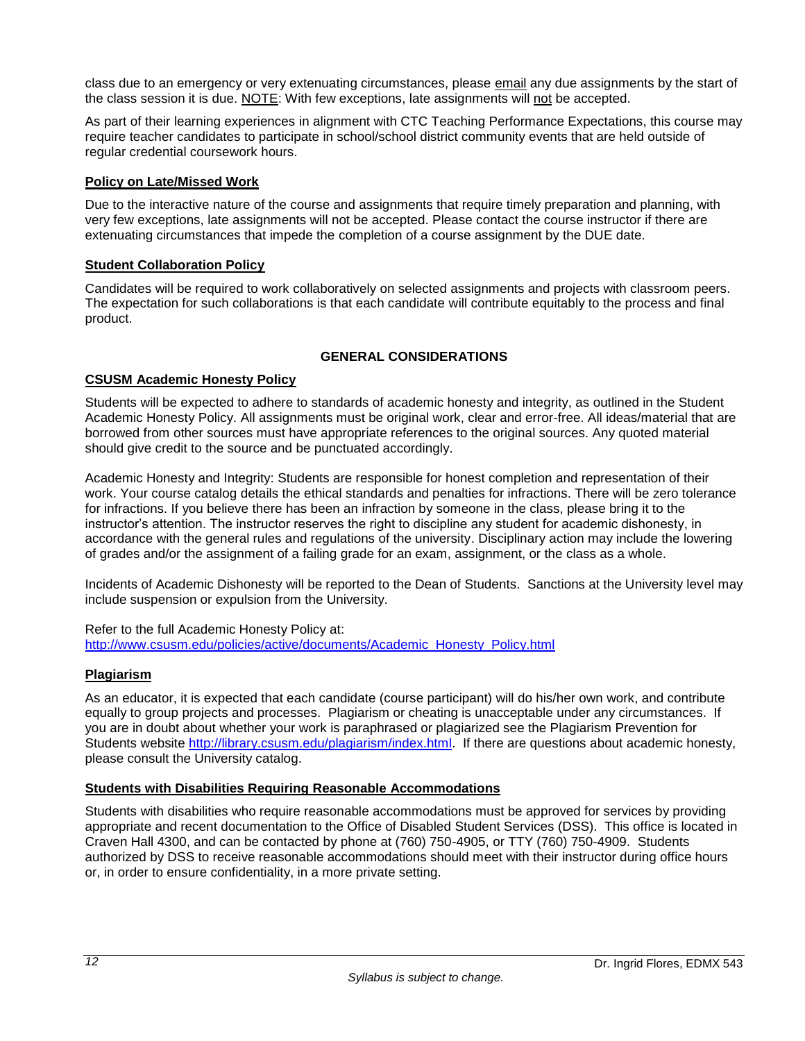class due to an emergency or very extenuating circumstances, please email any due assignments by the start of the class session it is due. NOTE: With few exceptions, late assignments will not be accepted.

As part of their learning experiences in alignment with CTC Teaching Performance Expectations, this course may require teacher candidates to participate in school/school district community events that are held outside of regular credential coursework hours.

# <span id="page-13-0"></span>**Policy on Late/Missed Work**

Due to the interactive nature of the course and assignments that require timely preparation and planning, with very few exceptions, late assignments will not be accepted. Please contact the course instructor if there are extenuating circumstances that impede the completion of a course assignment by the DUE date.

#### <span id="page-13-1"></span>**Student Collaboration Policy**

Candidates will be required to work collaboratively on selected assignments and projects with classroom peers. The expectation for such collaborations is that each candidate will contribute equitably to the process and final product.

# **GENERAL CONSIDERATIONS**

# <span id="page-13-3"></span><span id="page-13-2"></span>**CSUSM Academic Honesty Policy**

Students will be expected to adhere to standards of academic honesty and integrity, as outlined in the Student Academic Honesty Policy. All assignments must be original work, clear and error-free. All ideas/material that are borrowed from other sources must have appropriate references to the original sources. Any quoted material should give credit to the source and be punctuated accordingly.

Academic Honesty and Integrity: Students are responsible for honest completion and representation of their work. Your course catalog details the ethical standards and penalties for infractions. There will be zero tolerance for infractions. If you believe there has been an infraction by someone in the class, please bring it to the instructor's attention. The instructor reserves the right to discipline any student for academic dishonesty, in accordance with the general rules and regulations of the university. Disciplinary action may include the lowering of grades and/or the assignment of a failing grade for an exam, assignment, or the class as a whole.

Incidents of Academic Dishonesty will be reported to the Dean of Students. Sanctions at the University level may include suspension or expulsion from the University.

Refer to the full Academic Honesty Policy at: [http://www.csusm.edu/policies/active/documents/Academic\\_Honesty\\_Policy.html](http://www.csusm.edu/policies/active/documents/Academic_Honesty_Policy.html)

#### <span id="page-13-4"></span>**Plagiarism**

As an educator, it is expected that each candidate (course participant) will do his/her own work, and contribute equally to group projects and processes. Plagiarism or cheating is unacceptable under any circumstances. If you are in doubt about whether your work is paraphrased or plagiarized see the Plagiarism Prevention for Students website [http://library.csusm.edu/plagiarism/index.html.](http://library.csusm.edu/plagiarism/index.html) If there are questions about academic honesty, please consult the University catalog.

# <span id="page-13-5"></span>**Students with Disabilities Requiring Reasonable Accommodations**

Students with disabilities who require reasonable accommodations must be approved for services by providing appropriate and recent documentation to the Office of Disabled Student Services (DSS). This office is located in Craven Hall 4300, and can be contacted by phone at (760) 750-4905, or TTY (760) 750-4909. Students authorized by DSS to receive reasonable accommodations should meet with their instructor during office hours or, in order to ensure confidentiality, in a more private setting.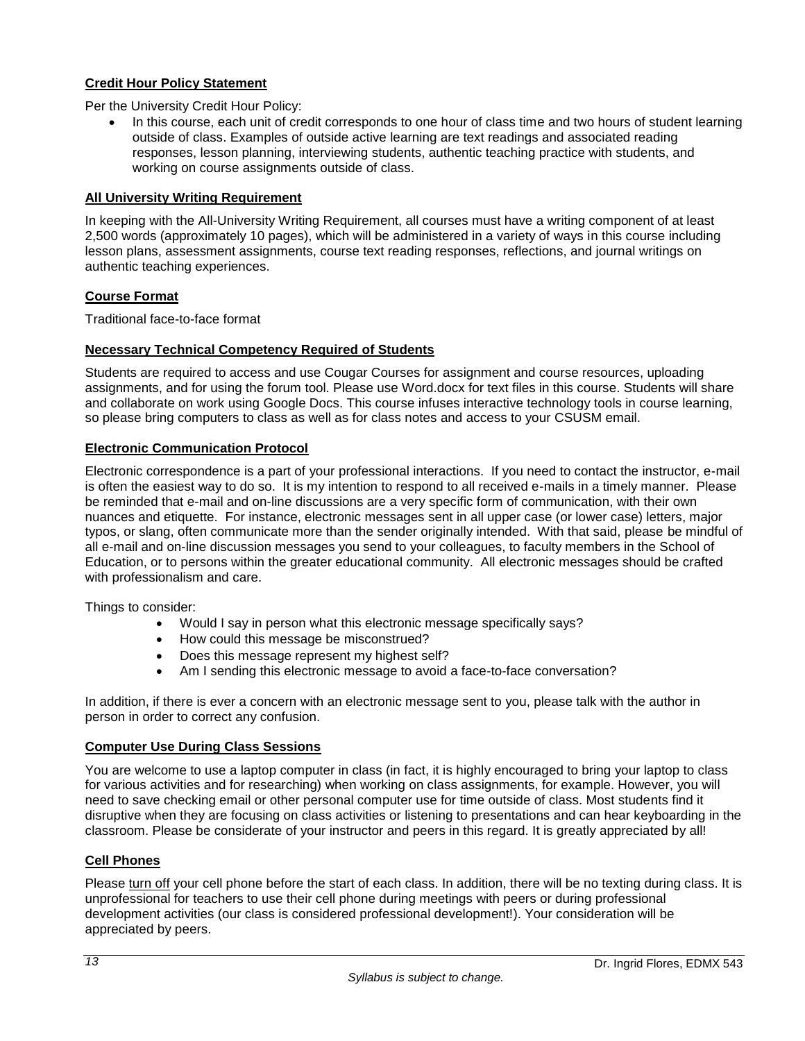# <span id="page-14-0"></span>**Credit Hour Policy Statement**

Per the University Credit Hour Policy:

• In this course, each unit of credit corresponds to one hour of class time and two hours of student learning outside of class. Examples of outside active learning are text readings and associated reading responses, lesson planning, interviewing students, authentic teaching practice with students, and working on course assignments outside of class.

#### <span id="page-14-1"></span>**All University Writing Requirement**

In keeping with the All-University Writing Requirement, all courses must have a writing component of at least 2,500 words (approximately 10 pages), which will be administered in a variety of ways in this course including lesson plans, assessment assignments, course text reading responses, reflections, and journal writings on authentic teaching experiences.

#### <span id="page-14-2"></span>**Course Format**

Traditional face-to-face format

#### <span id="page-14-3"></span>**Necessary Technical Competency Required of Students**

Students are required to access and use Cougar Courses for assignment and course resources, uploading assignments, and for using the forum tool. Please use Word.docx for text files in this course. Students will share and collaborate on work using Google Docs. This course infuses interactive technology tools in course learning, so please bring computers to class as well as for class notes and access to your CSUSM email.

#### <span id="page-14-4"></span>**Electronic Communication Protocol**

Electronic correspondence is a part of your professional interactions. If you need to contact the instructor, e-mail is often the easiest way to do so. It is my intention to respond to all received e-mails in a timely manner. Please be reminded that e-mail and on-line discussions are a very specific form of communication, with their own nuances and etiquette. For instance, electronic messages sent in all upper case (or lower case) letters, major typos, or slang, often communicate more than the sender originally intended. With that said, please be mindful of all e-mail and on-line discussion messages you send to your colleagues, to faculty members in the School of Education, or to persons within the greater educational community. All electronic messages should be crafted with professionalism and care.

Things to consider:

- Would I say in person what this electronic message specifically says?
- How could this message be misconstrued?
- Does this message represent my highest self?
- Am I sending this electronic message to avoid a face-to-face conversation?

In addition, if there is ever a concern with an electronic message sent to you, please talk with the author in person in order to correct any confusion.

#### <span id="page-14-5"></span>**Computer Use During Class Sessions**

You are welcome to use a laptop computer in class (in fact, it is highly encouraged to bring your laptop to class for various activities and for researching) when working on class assignments, for example. However, you will need to save checking email or other personal computer use for time outside of class. Most students find it disruptive when they are focusing on class activities or listening to presentations and can hear keyboarding in the classroom. Please be considerate of your instructor and peers in this regard. It is greatly appreciated by all!

# <span id="page-14-6"></span>**Cell Phones**

Please turn off your cell phone before the start of each class. In addition, there will be no texting during class. It is unprofessional for teachers to use their cell phone during meetings with peers or during professional development activities (our class is considered professional development!). Your consideration will be appreciated by peers.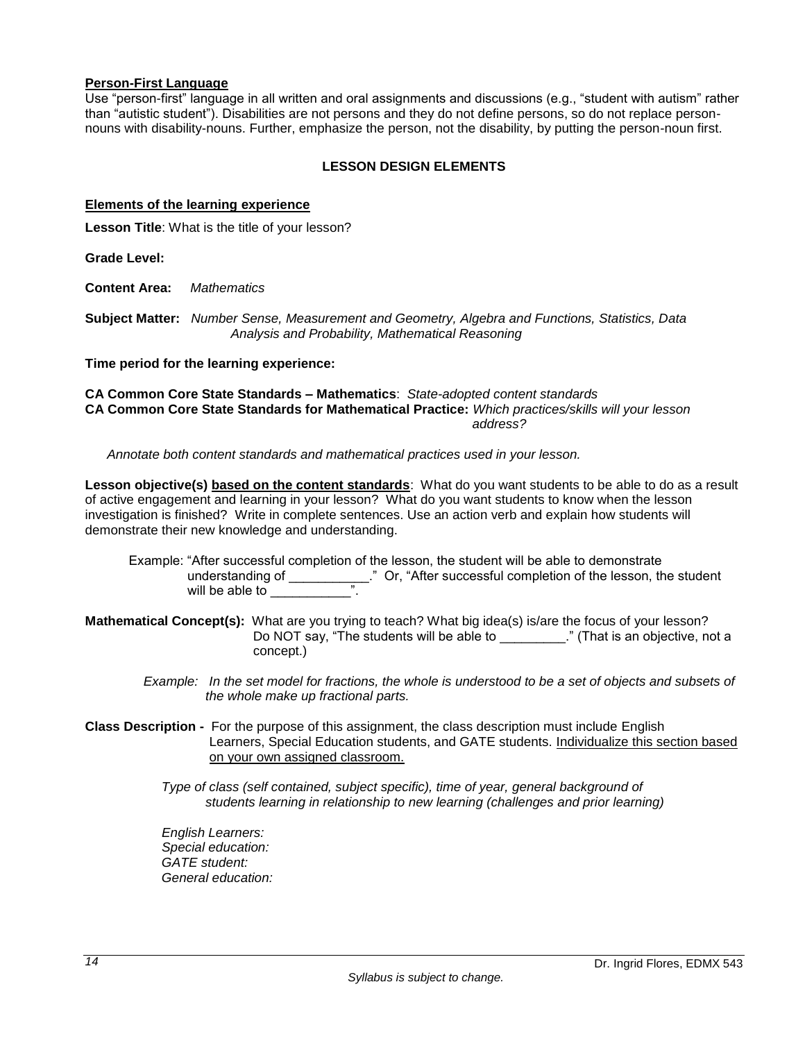#### **Person-First Language**

Use "person-first" language in all written and oral assignments and discussions (e.g., "student with autism" rather than "autistic student"). Disabilities are not persons and they do not define persons, so do not replace personnouns with disability-nouns. Further, emphasize the person, not the disability, by putting the person-noun first.

# **LESSON DESIGN ELEMENTS**

#### <span id="page-15-1"></span><span id="page-15-0"></span>**Elements of the learning experience**

**Lesson Title**: What is the title of your lesson?

**Grade Level:**

**Content Area:** *Mathematics*

**Subject Matter:** *Number Sense, Measurement and Geometry, Algebra and Functions, Statistics, Data Analysis and Probability, Mathematical Reasoning*

**Time period for the learning experience:** 

**CA Common Core State Standards – Mathematics**: *State-adopted content standards* **CA Common Core State Standards for Mathematical Practice:** *Which practices/skills will your lesson address?*

 *Annotate both content standards and mathematical practices used in your lesson.*

**Lesson objective(s) based on the content standards**: What do you want students to be able to do as a result of active engagement and learning in your lesson? What do you want students to know when the lesson investigation is finished? Write in complete sentences. Use an action verb and explain how students will demonstrate their new knowledge and understanding.

 Example: "After successful completion of the lesson, the student will be able to demonstrate understanding of \_\_\_\_\_\_\_\_\_\_\_." Or, "After successful completion of the lesson, the student will be able to \_\_\_\_\_\_\_\_\_\_\_\_\_\_".

**Mathematical Concept(s):** What are you trying to teach? What big idea(s) is/are the focus of your lesson? Do NOT say, "The students will be able to \_\_\_\_\_\_\_\_\_." (That is an objective, not a concept.)

 *Example: In the set model for fractions, the whole is understood to be a set of objects and subsets of the whole make up fractional parts.* 

**Class Description -** For the purpose of this assignment, the class description must include English Learners, Special Education students, and GATE students. Individualize this section based on your own assigned classroom.

> *Type of class (self contained, subject specific), time of year, general background of students learning in relationship to new learning (challenges and prior learning)*

 *English Learners: Special education: GATE student: General education:*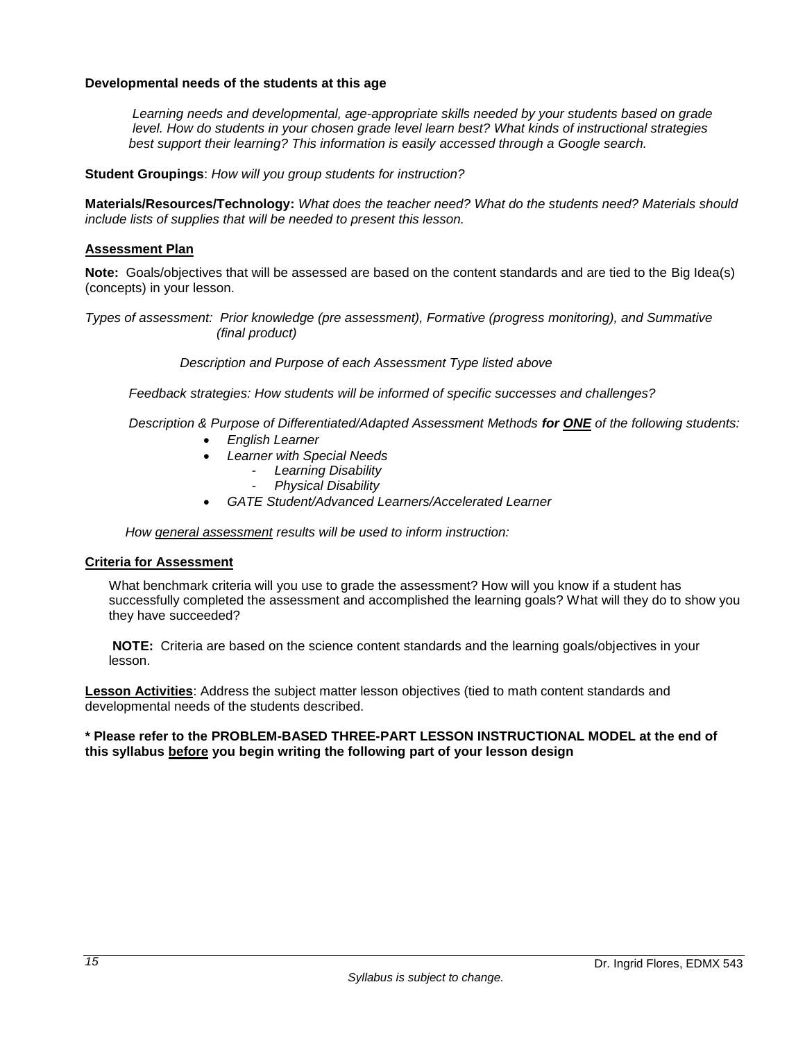#### **Developmental needs of the students at this age**

*Learning needs and developmental, age-appropriate skills needed by your students based on grade level. How do students in your chosen grade level learn best? What kinds of instructional strategies best support their learning? This information is easily accessed through a Google search.*

**Student Groupings**: *How will you group students for instruction?*

**Materials/Resources/Technology:** *What does the teacher need? What do the students need? Materials should include lists of supplies that will be needed to present this lesson.*

#### <span id="page-16-0"></span>**Assessment Plan**

**Note:** Goals/objectives that will be assessed are based on the content standards and are tied to the Big Idea(s) (concepts) in your lesson.

*Types of assessment: Prior knowledge (pre assessment), Formative (progress monitoring), and Summative (final product)*

 *Description and Purpose of each Assessment Type listed above* 

 *Feedback strategies: How students will be informed of specific successes and challenges?*

 *Description & Purpose of Differentiated/Adapted Assessment Methods for ONE of the following students:*

- *English Learner*
- *Learner with Special Needs*
	- *Learning Disability*
		- *Physical Disability*
- *GATE Student/Advanced Learners/Accelerated Learner*

 *How general assessment results will be used to inform instruction:*

#### <span id="page-16-1"></span>**Criteria for Assessment**

What benchmark criteria will you use to grade the assessment? How will you know if a student has successfully completed the assessment and accomplished the learning goals? What will they do to show you they have succeeded?

**NOTE:** Criteria are based on the science content standards and the learning goals/objectives in your lesson.

**Lesson Activities**: Address the subject matter lesson objectives (tied to math content standards and developmental needs of the students described.

#### **\* Please refer to the PROBLEM-BASED THREE-PART LESSON INSTRUCTIONAL MODEL at the end of this syllabus before you begin writing the following part of your lesson design**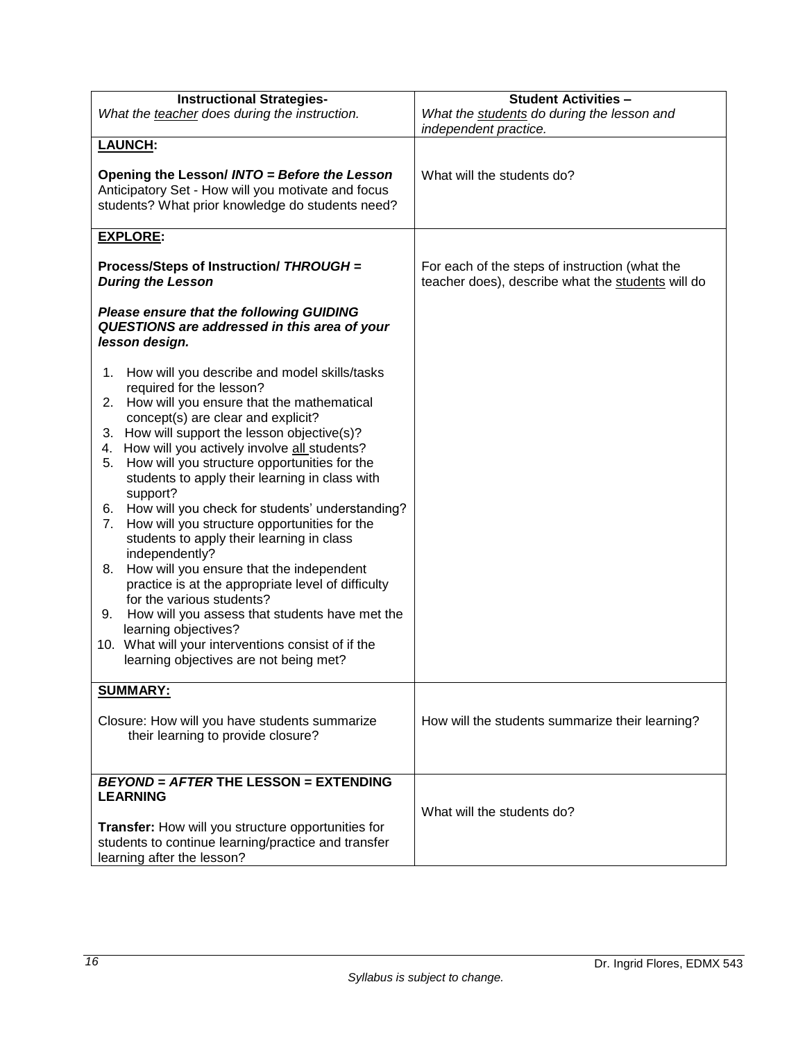| <b>Instructional Strategies-</b>                                                                                                                       | <b>Student Activities -</b>                                                                         |  |  |
|--------------------------------------------------------------------------------------------------------------------------------------------------------|-----------------------------------------------------------------------------------------------------|--|--|
| What the teacher does during the instruction.                                                                                                          | What the students do during the lesson and<br>independent practice.                                 |  |  |
| <b>LAUNCH:</b>                                                                                                                                         |                                                                                                     |  |  |
| Opening the Lesson/ INTO = Before the Lesson<br>Anticipatory Set - How will you motivate and focus<br>students? What prior knowledge do students need? | What will the students do?                                                                          |  |  |
| <b>EXPLORE:</b>                                                                                                                                        |                                                                                                     |  |  |
| Process/Steps of Instruction/ THROUGH =<br><b>During the Lesson</b>                                                                                    | For each of the steps of instruction (what the<br>teacher does), describe what the students will do |  |  |
| <b>Please ensure that the following GUIDING</b><br>QUESTIONS are addressed in this area of your<br>lesson design.                                      |                                                                                                     |  |  |
| How will you describe and model skills/tasks<br>1.                                                                                                     |                                                                                                     |  |  |
| required for the lesson?<br>2. How will you ensure that the mathematical<br>concept(s) are clear and explicit?                                         |                                                                                                     |  |  |
| 3. How will support the lesson objective(s)?                                                                                                           |                                                                                                     |  |  |
| How will you actively involve all students?<br>4.<br>5.                                                                                                |                                                                                                     |  |  |
| How will you structure opportunities for the<br>students to apply their learning in class with<br>support?                                             |                                                                                                     |  |  |
| How will you check for students' understanding?<br>6.                                                                                                  |                                                                                                     |  |  |
| How will you structure opportunities for the<br>7.<br>students to apply their learning in class<br>independently?                                      |                                                                                                     |  |  |
| How will you ensure that the independent<br>8.<br>practice is at the appropriate level of difficulty                                                   |                                                                                                     |  |  |
| for the various students?                                                                                                                              |                                                                                                     |  |  |
| How will you assess that students have met the<br>9.<br>learning objectives?                                                                           |                                                                                                     |  |  |
| 10. What will your interventions consist of if the                                                                                                     |                                                                                                     |  |  |
| learning objectives are not being met?                                                                                                                 |                                                                                                     |  |  |
| <b>SUMMARY:</b>                                                                                                                                        |                                                                                                     |  |  |
| Closure: How will you have students summarize<br>their learning to provide closure?                                                                    | How will the students summarize their learning?                                                     |  |  |
| <b>BEYOND = AFTER THE LESSON = EXTENDING</b>                                                                                                           |                                                                                                     |  |  |
| <b>LEARNING</b>                                                                                                                                        |                                                                                                     |  |  |
|                                                                                                                                                        | What will the students do?                                                                          |  |  |
| Transfer: How will you structure opportunities for<br>students to continue learning/practice and transfer<br>learning after the lesson?                |                                                                                                     |  |  |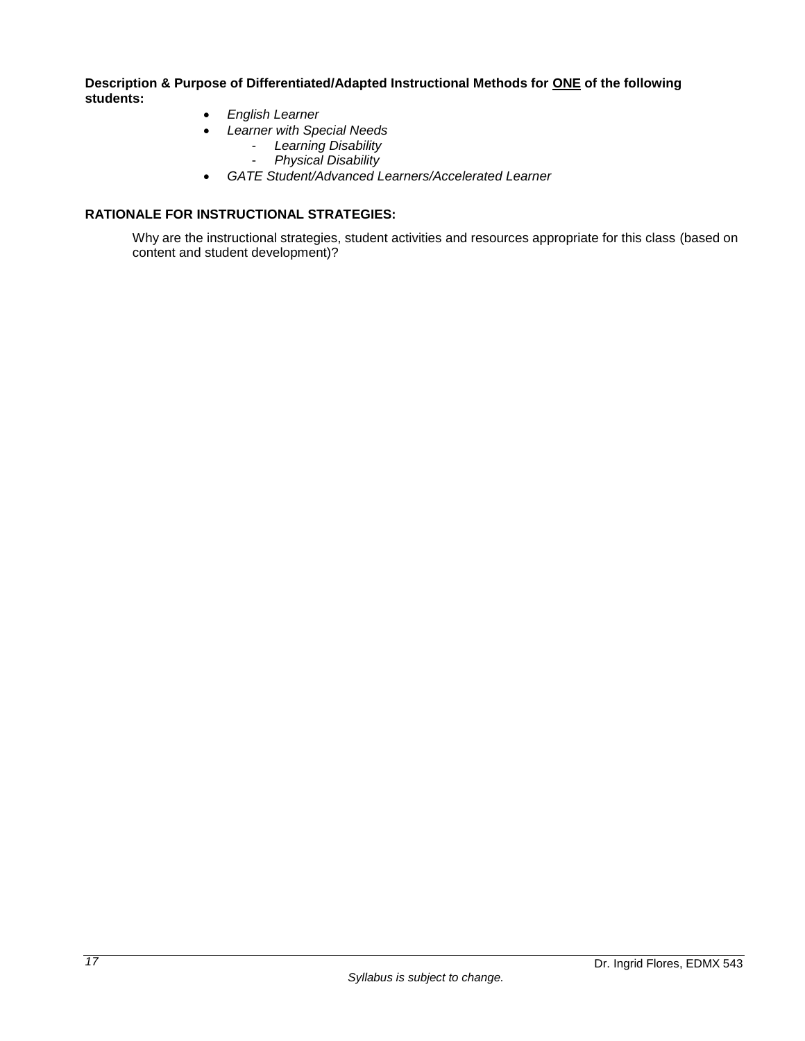**Description & Purpose of Differentiated/Adapted Instructional Methods for ONE of the following students:**

- *English Learner*
- *Learner with Special Needs*
	- *Learning Disability*
	- *Physical Disability*
- *GATE Student/Advanced Learners/Accelerated Learner*

# <span id="page-18-0"></span>**RATIONALE FOR INSTRUCTIONAL STRATEGIES:**

Why are the instructional strategies, student activities and resources appropriate for this class (based on content and student development)?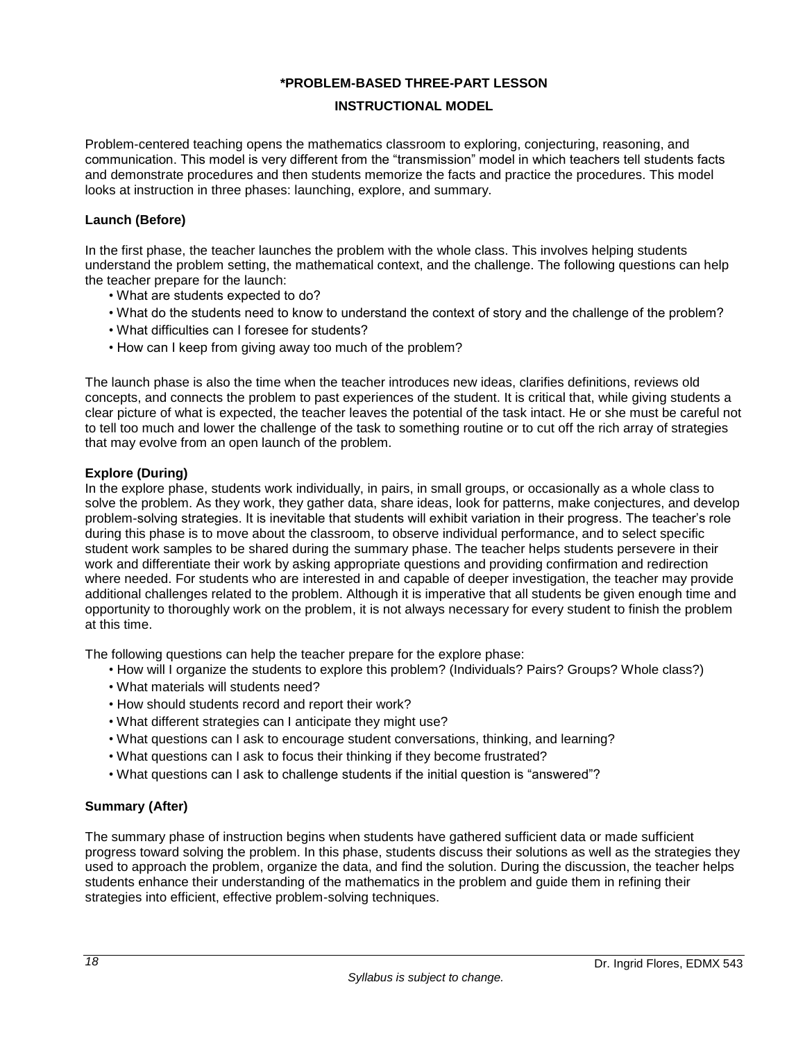#### **\*PROBLEM-BASED THREE-PART LESSON**

#### **INSTRUCTIONAL MODEL**

<span id="page-19-0"></span>Problem-centered teaching opens the mathematics classroom to exploring, conjecturing, reasoning, and communication. This model is very different from the "transmission" model in which teachers tell students facts and demonstrate procedures and then students memorize the facts and practice the procedures. This model looks at instruction in three phases: launching, explore, and summary.

#### **Launch (Before)**

In the first phase, the teacher launches the problem with the whole class. This involves helping students understand the problem setting, the mathematical context, and the challenge. The following questions can help the teacher prepare for the launch:

- What are students expected to do?
- What do the students need to know to understand the context of story and the challenge of the problem?
- What difficulties can I foresee for students?
- How can I keep from giving away too much of the problem?

The launch phase is also the time when the teacher introduces new ideas, clarifies definitions, reviews old concepts, and connects the problem to past experiences of the student. It is critical that, while giving students a clear picture of what is expected, the teacher leaves the potential of the task intact. He or she must be careful not to tell too much and lower the challenge of the task to something routine or to cut off the rich array of strategies that may evolve from an open launch of the problem.

#### **Explore (During)**

In the explore phase, students work individually, in pairs, in small groups, or occasionally as a whole class to solve the problem. As they work, they gather data, share ideas, look for patterns, make conjectures, and develop problem-solving strategies. It is inevitable that students will exhibit variation in their progress. The teacher's role during this phase is to move about the classroom, to observe individual performance, and to select specific student work samples to be shared during the summary phase. The teacher helps students persevere in their work and differentiate their work by asking appropriate questions and providing confirmation and redirection where needed. For students who are interested in and capable of deeper investigation, the teacher may provide additional challenges related to the problem. Although it is imperative that all students be given enough time and opportunity to thoroughly work on the problem, it is not always necessary for every student to finish the problem at this time.

The following questions can help the teacher prepare for the explore phase:

- How will I organize the students to explore this problem? (Individuals? Pairs? Groups? Whole class?)
- What materials will students need?
- How should students record and report their work?
- What different strategies can I anticipate they might use?
- What questions can I ask to encourage student conversations, thinking, and learning?
- What questions can I ask to focus their thinking if they become frustrated?
- What questions can I ask to challenge students if the initial question is "answered"?

# **Summary (After)**

The summary phase of instruction begins when students have gathered sufficient data or made sufficient progress toward solving the problem. In this phase, students discuss their solutions as well as the strategies they used to approach the problem, organize the data, and find the solution. During the discussion, the teacher helps students enhance their understanding of the mathematics in the problem and guide them in refining their strategies into efficient, effective problem-solving techniques.